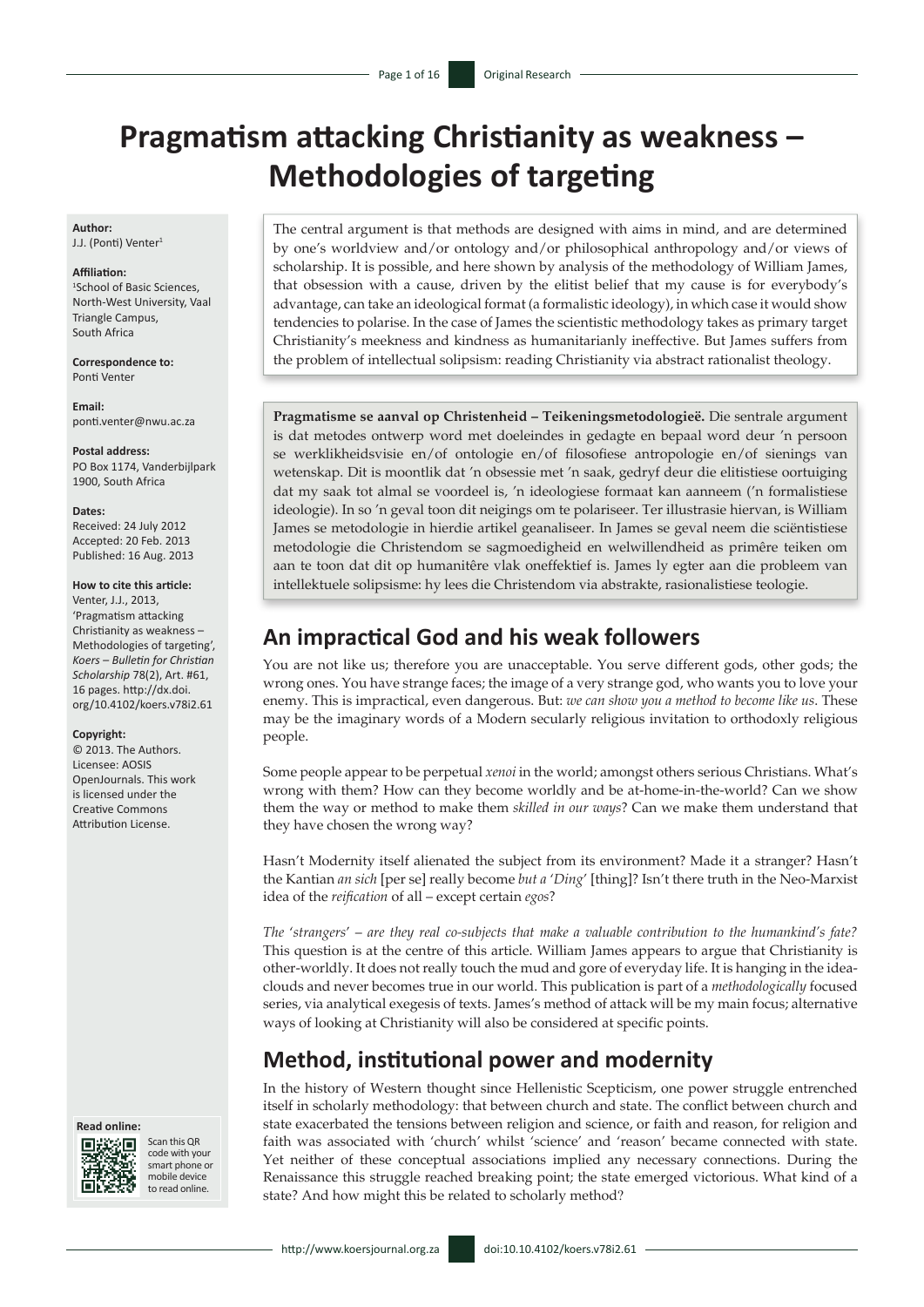# **Pragmatism attacking Christianity as weakness – Methodologies of targeting**

**Author:** J.J. (Ponti) Venter<sup>1</sup>

#### **Affiliation:**

1 School of Basic Sciences, North-West University, Vaal Triangle Campus, South Africa

**Correspondence to:** Ponti Venter

**Email:** [ponti.venter@nwu.ac.za](mailto:ponti.venter@nwu.ac.za)

**Postal address:** PO Box 1174, Vanderbijlpark 1900, South Africa

**Dates:**

Received: 24 July 2012 Accepted: 20 Feb. 2013 Published: 16 Aug. 2013

#### **How to cite this article:**

Venter, J.J., 2013, 'Pragmatism attacking Christianity as weakness – Methodologies of targeting', *Koers – Bulletin for Christian Scholarship* 78(2), Art. #61, 16 pages. [http://dx.doi.](http://dx.doi.org/10.4102/koers.v78i2.61) [org/10.4102/koers.v78i2.61](http://dx.doi.org/10.4102/koers.v78i2.61)

#### **Copyright:**

© 2013. The Authors. Licensee: AOSIS OpenJournals. This work is licensed under the Creative Commons Attribution License.





Scan this QR code with your smart phone or mobile device to read online.

The central argument is that methods are designed with aims in mind, and are determined by one's worldview and/or ontology and/or philosophical anthropology and/or views of scholarship. It is possible, and here shown by analysis of the methodology of William James, that obsession with a cause, driven by the elitist belief that my cause is for everybody's advantage, can take an ideological format (a formalistic ideology), in which case it would show tendencies to polarise. In the case of James the scientistic methodology takes as primary target Christianity's meekness and kindness as humanitarianly ineffective. But James suffers from the problem of intellectual solipsism: reading Christianity via abstract rationalist theology.

**Pragmatisme se aanval op Christenheid – Teikeningsmetodologieë.** Die sentrale argument is dat metodes ontwerp word met doeleindes in gedagte en bepaal word deur 'n persoon se werklikheidsvisie en/of ontologie en/of filosofiese antropologie en/of sienings van wetenskap. Dit is moontlik dat 'n obsessie met 'n saak, gedryf deur die elitistiese oortuiging dat my saak tot almal se voordeel is, 'n ideologiese formaat kan aanneem ('n formalistiese ideologie). In so 'n geval toon dit neigings om te polariseer. Ter illustrasie hiervan, is William James se metodologie in hierdie artikel geanaliseer. In James se geval neem die sciëntistiese metodologie die Christendom se sagmoedigheid en welwillendheid as primêre teiken om aan te toon dat dit op humanitêre vlak oneffektief is. James ly egter aan die probleem van intellektuele solipsisme: hy lees die Christendom via abstrakte, rasionalistiese teologie.

# **An impractical God and his weak followers**

You are not like us; therefore you are unacceptable. You serve different gods, other gods; the wrong ones. You have strange faces; the image of a very strange god, who wants you to love your enemy. This is impractical, even dangerous. But: *we can show you a method to become like us*. These may be the imaginary words of a Modern secularly religious invitation to orthodoxly religious people.

Some people appear to be perpetual *xenoi* in the world; amongst others serious Christians. What's wrong with them? How can they become worldly and be at-home-in-the-world? Can we show them the way or method to make them *skilled in our ways*? Can we make them understand that they have chosen the wrong way?

Hasn't Modernity itself alienated the subject from its environment? Made it a stranger? Hasn't the Kantian *an sich* [per se] really become *but a* '*Ding*' [thing]? Isn't there truth in the Neo-Marxist idea of the *reification* of all – except certain *egos*?

*The* '*strangers*' – *are they real co-subjects that make a valuable contribution to the humankind's fate?* This question is at the centre of this article. William James appears to argue that Christianity is other-worldly. It does not really touch the mud and gore of everyday life. It is hanging in the ideaclouds and never becomes true in our world. This publication is part of a *methodologically* focused series, via analytical exegesis of texts. James's method of attack will be my main focus; alternative ways of looking at Christianity will also be considered at specific points.

# **Method, institutional power and modernity**

In the history of Western thought since Hellenistic Scepticism, one power struggle entrenched itself in scholarly methodology: that between church and state. The conflict between church and state exacerbated the tensions between religion and science, or faith and reason, for religion and faith was associated with 'church' whilst 'science' and 'reason' became connected with state. Yet neither of these conceptual associations implied any necessary connections. During the Renaissance this struggle reached breaking point; the state emerged victorious. What kind of a state? And how might this be related to scholarly method?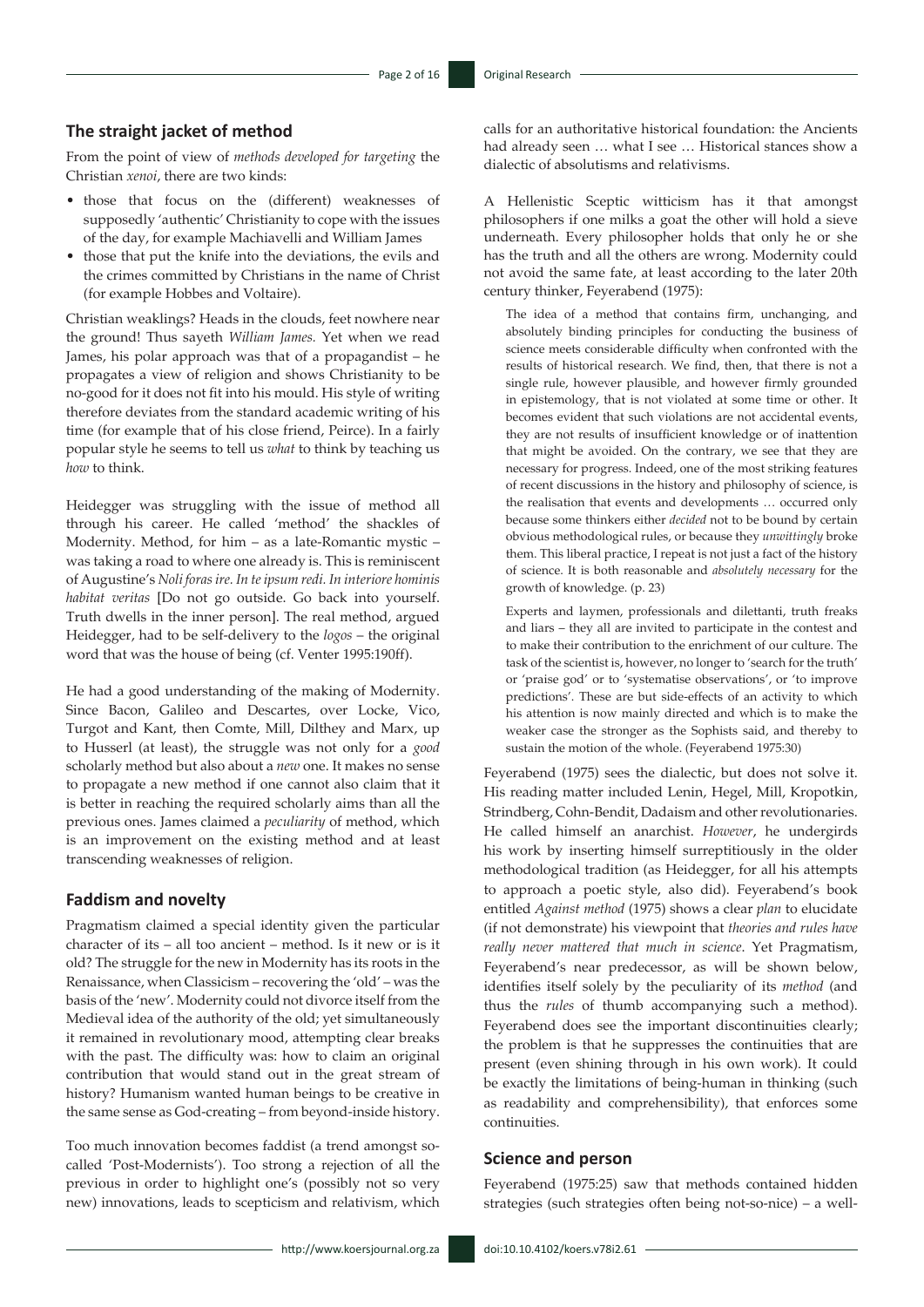#### **The straight jacket of method**

From the point of view of *methods developed for targeting* the Christian *xenoi*, there are two kinds:

- those that focus on the (different) weaknesses of supposedly 'authentic' Christianity to cope with the issues of the day, for example Machiavelli and William James
- those that put the knife into the deviations, the evils and the crimes committed by Christians in the name of Christ (for example Hobbes and Voltaire).

Christian weaklings? Heads in the clouds, feet nowhere near the ground! Thus sayeth *William James.* Yet when we read James, his polar approach was that of a propagandist – he propagates a view of religion and shows Christianity to be no-good for it does not fit into his mould. His style of writing therefore deviates from the standard academic writing of his time (for example that of his close friend, Peirce). In a fairly popular style he seems to tell us *what* to think by teaching us *how* to think.

Heidegger was struggling with the issue of method all through his career. He called 'method' the shackles of Modernity. Method, for him – as a late-Romantic mystic – was taking a road to where one already is. This is reminiscent of Augustine's *Noli foras ire. In te ipsum redi. In interiore hominis habitat veritas* [Do not go outside. Go back into yourself. Truth dwells in the inner person]. The real method, argued Heidegger, had to be self-delivery to the *logos* – the original word that was the house of being (cf. Venter 1995:190ff).

He had a good understanding of the making of Modernity. Since Bacon, Galileo and Descartes, over Locke, Vico, Turgot and Kant, then Comte, Mill, Dilthey and Marx, up to Husserl (at least), the struggle was not only for a *good* scholarly method but also about a *new* one. It makes no sense to propagate a new method if one cannot also claim that it is better in reaching the required scholarly aims than all the previous ones. James claimed a *peculiarity* of method, which is an improvement on the existing method and at least transcending weaknesses of religion.

#### **Faddism and novelty**

Pragmatism claimed a special identity given the particular character of its – all too ancient – method. Is it new or is it old? The struggle for the new in Modernity has its roots in the Renaissance, when Classicism – recovering the 'old' – was the basis of the 'new'. Modernity could not divorce itself from the Medieval idea of the authority of the old; yet simultaneously it remained in revolutionary mood, attempting clear breaks with the past. The difficulty was: how to claim an original contribution that would stand out in the great stream of history? Humanism wanted human beings to be creative in the same sense as God-creating – from beyond-inside history.

Too much innovation becomes faddist (a trend amongst socalled 'Post-Modernists'). Too strong a rejection of all the previous in order to highlight one's (possibly not so very new) innovations, leads to scepticism and relativism, which calls for an authoritative historical foundation: the Ancients had already seen … what I see … Historical stances show a dialectic of absolutisms and relativisms.

A Hellenistic Sceptic witticism has it that amongst philosophers if one milks a goat the other will hold a sieve underneath. Every philosopher holds that only he or she has the truth and all the others are wrong. Modernity could not avoid the same fate, at least according to the later 20th century thinker, Feyerabend (1975):

The idea of a method that contains firm, unchanging, and absolutely binding principles for conducting the business of science meets considerable difficulty when confronted with the results of historical research. We find, then, that there is not a single rule, however plausible, and however firmly grounded in epistemology, that is not violated at some time or other. It becomes evident that such violations are not accidental events, they are not results of insufficient knowledge or of inattention that might be avoided. On the contrary, we see that they are necessary for progress. Indeed, one of the most striking features of recent discussions in the history and philosophy of science, is the realisation that events and developments … occurred only because some thinkers either *decided* not to be bound by certain obvious methodological rules, or because they *unwittingly* broke them. This liberal practice, I repeat is not just a fact of the history of science. It is both reasonable and *absolutely necessary* for the growth of knowledge. (p. 23)

Experts and laymen, professionals and dilettanti, truth freaks and liars – they all are invited to participate in the contest and to make their contribution to the enrichment of our culture. The task of the scientist is, however, no longer to 'search for the truth' or 'praise god' or to 'systematise observations', or 'to improve predictions'. These are but side-effects of an activity to which his attention is now mainly directed and which is to make the weaker case the stronger as the Sophists said, and thereby to sustain the motion of the whole. (Feyerabend 1975:30)

Feyerabend (1975) sees the dialectic, but does not solve it. His reading matter included Lenin, Hegel, Mill, Kropotkin, Strindberg, Cohn-Bendit, Dadaism and other revolutionaries. He called himself an anarchist. *However*, he undergirds his work by inserting himself surreptitiously in the older methodological tradition (as Heidegger, for all his attempts to approach a poetic style, also did). Feyerabend's book entitled *Against method* (1975) shows a clear *plan* to elucidate (if not demonstrate) his viewpoint that *theories and rules have really never mattered that much in science*. Yet Pragmatism, Feyerabend's near predecessor, as will be shown below, identifies itself solely by the peculiarity of its *method* (and thus the *rules* of thumb accompanying such a method). Feyerabend does see the important discontinuities clearly; the problem is that he suppresses the continuities that are present (even shining through in his own work). It could be exactly the limitations of being-human in thinking (such as readability and comprehensibility), that enforces some continuities.

#### **Science and person**

Feyerabend (1975:25) saw that methods contained hidden strategies (such strategies often being not-so-nice) – a well-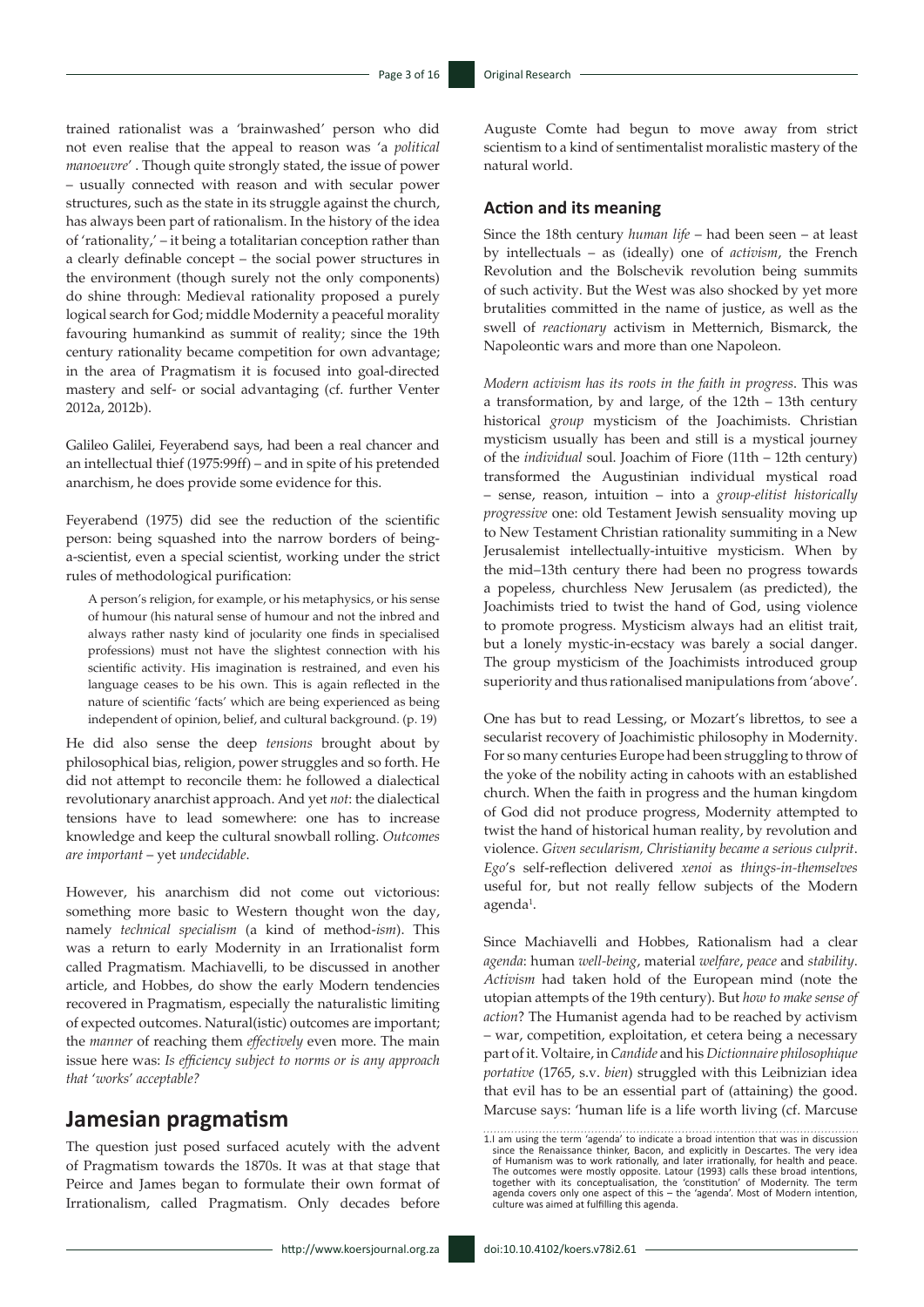trained rationalist was a 'brainwashed' person who did not even realise that the appeal to reason was 'a *political manoeuvre*' . Though quite strongly stated, the issue of power – usually connected with reason and with secular power structures, such as the state in its struggle against the church, has always been part of rationalism. In the history of the idea of 'rationality,' – it being a totalitarian conception rather than a clearly definable concept – the social power structures in the environment (though surely not the only components) do shine through: Medieval rationality proposed a purely logical search for God; middle Modernity a peaceful morality favouring humankind as summit of reality; since the 19th century rationality became competition for own advantage; in the area of Pragmatism it is focused into goal-directed mastery and self- or social advantaging (cf. further Venter 2012a, 2012b).

Galileo Galilei, Feyerabend says, had been a real chancer and an intellectual thief (1975:99ff) – and in spite of his pretended anarchism, he does provide some evidence for this.

Feyerabend (1975) did see the reduction of the scientific person: being squashed into the narrow borders of beinga-scientist, even a special scientist, working under the strict rules of methodological purification:

A person's religion, for example, or his metaphysics, or his sense of humour (his natural sense of humour and not the inbred and always rather nasty kind of jocularity one finds in specialised professions) must not have the slightest connection with his scientific activity. His imagination is restrained, and even his language ceases to be his own. This is again reflected in the nature of scientific 'facts' which are being experienced as being independent of opinion, belief, and cultural background. (p. 19)

He did also sense the deep *tensions* brought about by philosophical bias, religion, power struggles and so forth. He did not attempt to reconcile them: he followed a dialectical revolutionary anarchist approach. And yet *not*: the dialectical tensions have to lead somewhere: one has to increase knowledge and keep the cultural snowball rolling. *Outcomes are important* – yet *undecidable*.

However, his anarchism did not come out victorious: something more basic to Western thought won the day, namely *technical specialism* (a kind of method-*ism*). This was a return to early Modernity in an Irrationalist form called Pragmatism*.* Machiavelli, to be discussed in another article, and Hobbes, do show the early Modern tendencies recovered in Pragmatism, especially the naturalistic limiting of expected outcomes. Natural(istic) outcomes are important; the *manner* of reaching them *effectively* even more. The main issue here was: *Is efficiency subject to norms or is any approach that* '*works*' *acceptable?* 

### **Jamesian pragmatism**

The question just posed surfaced acutely with the advent of Pragmatism towards the 1870s. It was at that stage that Peirce and James began to formulate their own format of Irrationalism, called Pragmatism. Only decades before

Auguste Comte had begun to move away from strict scientism to a kind of sentimentalist moralistic mastery of the natural world.

#### **Action and its meaning**

Since the 18th century *human life* – had been seen – at least by intellectuals – as (ideally) one of *activism*, the French Revolution and the Bolschevik revolution being summits of such activity. But the West was also shocked by yet more brutalities committed in the name of justice, as well as the swell of *reactionary* activism in Metternich, Bismarck, the Napoleontic wars and more than one Napoleon.

*Modern activism has its roots in the faith in progress*. This was a transformation, by and large, of the 12th – 13th century historical *group* mysticism of the Joachimists. Christian mysticism usually has been and still is a mystical journey of the *individual* soul. Joachim of Fiore (11th – 12th century) transformed the Augustinian individual mystical road – sense, reason, intuition – into a *group-elitist historically progressive* one: old Testament Jewish sensuality moving up to New Testament Christian rationality summiting in a New Jerusalemist intellectually-intuitive mysticism. When by the mid–13th century there had been no progress towards a popeless, churchless New Jerusalem (as predicted), the Joachimists tried to twist the hand of God, using violence to promote progress. Mysticism always had an elitist trait, but a lonely mystic-in-ecstacy was barely a social danger. The group mysticism of the Joachimists introduced group superiority and thus rationalised manipulations from 'above'.

One has but to read Lessing, or Mozart's librettos, to see a secularist recovery of Joachimistic philosophy in Modernity. For so many centuries Europe had been struggling to throw of the yoke of the nobility acting in cahoots with an established church. When the faith in progress and the human kingdom of God did not produce progress, Modernity attempted to twist the hand of historical human reality, by revolution and violence. *Given secularism, Christianity became a serious culprit*. *Ego*'s self-reflection delivered *xenoi* as *things-in-themselves*  useful for, but not really fellow subjects of the Modern agenda<sup>1</sup>.

Since Machiavelli and Hobbes, Rationalism had a clear *agenda*: human *well-being*, material *welfare*, *peace* and *stability*. *Activism* had taken hold of the European mind (note the utopian attempts of the 19th century). But *how to make sense of action*? The Humanist agenda had to be reached by activism – war, competition, exploitation, et cetera being a necessary part of it. Voltaire, in *Candide* and his *Dictionnaire philosophique portative* (1765, s.v. *bien*) struggled with this Leibnizian idea that evil has to be an essential part of (attaining) the good. Marcuse says: 'human life is a life worth living (cf. Marcuse

<sup>1.</sup>I am using the term 'agenda' to indicate a broad intention that was in discussion since the Renaissance thinker, Bacon, and explicitly in Descartes. The very idea of Humanism was to work rationally, and later irrationally, for health and peace.<br>The outcomes were mostly opposite. Latour (1993) calls these broad intentions,<br>together with its conceptualisation, the 'constitution' of Mo culture was aimed at fulfilling this agenda.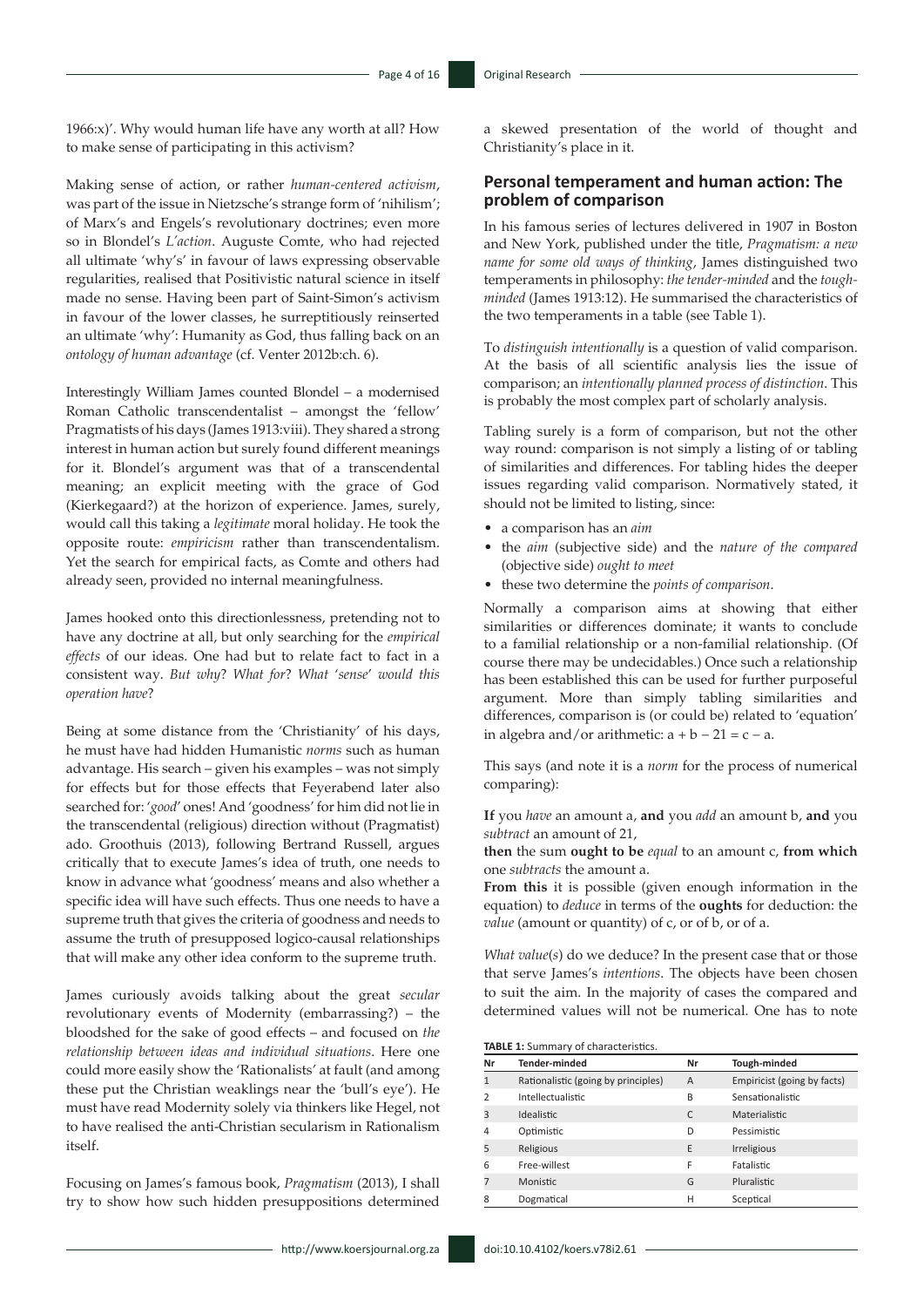1966:x)'. Why would human life have any worth at all? How to make sense of participating in this activism?

Making sense of action, or rather *human-centered activism*, was part of the issue in Nietzsche's strange form of 'nihilism'; of Marx's and Engels's revolutionary doctrines; even more so in Blondel's *L'action*. Auguste Comte, who had rejected all ultimate 'why's' in favour of laws expressing observable regularities, realised that Positivistic natural science in itself made no sense. Having been part of Saint-Simon's activism in favour of the lower classes, he surreptitiously reinserted an ultimate 'why': Humanity as God, thus falling back on an *ontology of human advantage* (cf. Venter 2012b:ch. 6).

Interestingly William James counted Blondel – a modernised Roman Catholic transcendentalist – amongst the 'fellow' Pragmatists of his days (James 1913:viii). They shared a strong interest in human action but surely found different meanings for it. Blondel's argument was that of a transcendental meaning; an explicit meeting with the grace of God (Kierkegaard?) at the horizon of experience. James, surely, would call this taking a *legitimate* moral holiday. He took the opposite route: *empiricism* rather than transcendentalism. Yet the search for empirical facts, as Comte and others had already seen, provided no internal meaningfulness.

James hooked onto this directionlessness, pretending not to have any doctrine at all, but only searching for the *empirical effects* of our ideas. One had but to relate fact to fact in a consistent way. *But why*? *What for*? *What* '*sense*' *would this operation have*?

Being at some distance from the 'Christianity' of his days, he must have had hidden Humanistic *norms* such as human advantage. His search – given his examples – was not simply for effects but for those effects that Feyerabend later also searched for: '*good*' ones! And 'goodness' for him did not lie in the transcendental (religious) direction without (Pragmatist) ado. Groothuis (2013), following Bertrand Russell, argues critically that to execute James's idea of truth, one needs to know in advance what 'goodness' means and also whether a specific idea will have such effects. Thus one needs to have a supreme truth that gives the criteria of goodness and needs to assume the truth of presupposed logico-causal relationships that will make any other idea conform to the supreme truth.

James curiously avoids talking about the great *secular* revolutionary events of Modernity (embarrassing?) – the bloodshed for the sake of good effects – and focused on *the relationship between ideas and individual situations*. Here one could more easily show the 'Rationalists' at fault (and among these put the Christian weaklings near the 'bull's eye'). He must have read Modernity solely via thinkers like Hegel, not to have realised the anti-Christian secularism in Rationalism itself.

Focusing on James's famous book, *Pragmatism* (2013), I shall try to show how such hidden presuppositions determined

http://www.koersjournal.org.za doi:10.10.4102/koers.v78i2.61 -

a skewed presentation of the world of thought and Christianity's place in it.

#### **Personal temperament and human action: The problem of comparison**

In his famous series of lectures delivered in 1907 in Boston and New York, published under the title, *Pragmatism: a new name for some old ways of thinking*, James distinguished two temperaments in philosophy: *the tender-minded* and the *toughminded* (James 1913:12). He summarised the characteristics of the two temperaments in a table (see Table 1).

To *distinguish intentionally* is a question of valid comparison. At the basis of all scientific analysis lies the issue of comparison; an *intentionally planned process of distinction*. This is probably the most complex part of scholarly analysis.

Tabling surely is a form of comparison, but not the other way round: comparison is not simply a listing of or tabling of similarities and differences. For tabling hides the deeper issues regarding valid comparison. Normatively stated, it should not be limited to listing, since:

- a comparison has an *aim*
- the *aim* (subjective side) and the *nature of the compared*  (objective side) *ought to meet*
- these two determine the *points of comparison*.

Normally a comparison aims at showing that either similarities or differences dominate; it wants to conclude to a familial relationship or a non-familial relationship. (Of course there may be undecidables.) Once such a relationship has been established this can be used for further purposeful argument. More than simply tabling similarities and differences, comparison is (or could be) related to 'equation' in algebra and/or arithmetic:  $a + b - 21 = c - a$ .

This says (and note it is a *norm* for the process of numerical comparing):

**If** you *have* an amount a, **and** you *add* an amount b, **and** you *subtract* an amount of 21,

**then** the sum **ought to be** *equal* to an amount c, **from which** one *subtracts* the amount a.

**From this** it is possible (given enough information in the equation) to *deduce* in terms of the **oughts** for deduction: the *value* (amount or quantity) of c, or of b, or of a.

*What value*(*s*) do we deduce? In the present case that or those that serve James's *intentions*. The objects have been chosen to suit the aim. In the majority of cases the compared and determined values will not be numerical. One has to note

**TABLE 1:** Summary of characteristics.

| Nr            | <b>Tender-minded</b>                | Nr             | Tough-minded                |
|---------------|-------------------------------------|----------------|-----------------------------|
| 1             | Rationalistic (going by principles) | $\overline{A}$ | Empiricist (going by facts) |
| $\mathcal{P}$ | <b>Intellectualistic</b>            | B              | Sensationalistic            |
| 3             | <b>Idealistic</b>                   | C              | <b>Materialistic</b>        |
| 4             | Optimistic                          | D              | Pessimistic                 |
| 5             | Religious                           | E              | <b>Irreligious</b>          |
| 6             | Free-willest                        | F              | Fatalistic                  |
|               | <b>Monistic</b>                     | G              | <b>Pluralistic</b>          |
| 8             | Dogmatical                          | Н              | Sceptical                   |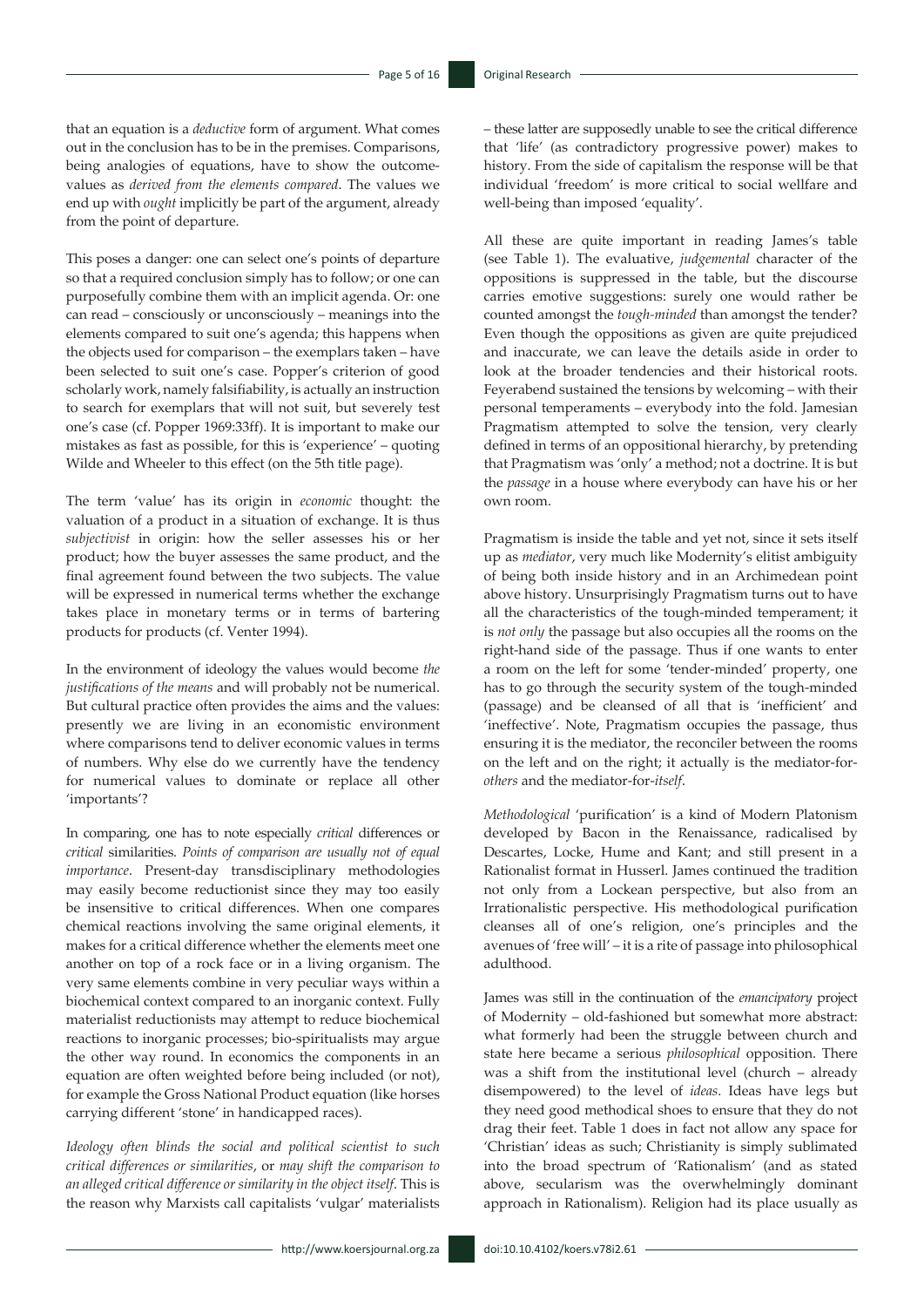that an equation is a *deductive* form of argument. What comes out in the conclusion has to be in the premises. Comparisons, being analogies of equations, have to show the outcomevalues as *derived from the elements compared*. The values we end up with *ought* implicitly be part of the argument, already from the point of departure.

This poses a danger: one can select one's points of departure so that a required conclusion simply has to follow; or one can purposefully combine them with an implicit agenda. Or: one can read – consciously or unconsciously – meanings into the elements compared to suit one's agenda; this happens when the objects used for comparison – the exemplars taken – have been selected to suit one's case. Popper's criterion of good scholarly work, namely falsifiability, is actually an instruction to search for exemplars that will not suit, but severely test one's case (cf. Popper 1969:33ff). It is important to make our mistakes as fast as possible, for this is 'experience' – quoting Wilde and Wheeler to this effect (on the 5th title page).

The term 'value' has its origin in *economic* thought: the valuation of a product in a situation of exchange. It is thus *subjectivist* in origin: how the seller assesses his or her product; how the buyer assesses the same product, and the final agreement found between the two subjects. The value will be expressed in numerical terms whether the exchange takes place in monetary terms or in terms of bartering products for products (cf. Venter 1994).

In the environment of ideology the values would become *the justifications of the means* and will probably not be numerical. But cultural practice often provides the aims and the values: presently we are living in an economistic environment where comparisons tend to deliver economic values in terms of numbers. Why else do we currently have the tendency for numerical values to dominate or replace all other 'importants'?

In comparing, one has to note especially *critical* differences or *critical* similarities. *Points of comparison are usually not of equal importance*. Present-day transdisciplinary methodologies may easily become reductionist since they may too easily be insensitive to critical differences. When one compares chemical reactions involving the same original elements, it makes for a critical difference whether the elements meet one another on top of a rock face or in a living organism. The very same elements combine in very peculiar ways within a biochemical context compared to an inorganic context. Fully materialist reductionists may attempt to reduce biochemical reactions to inorganic processes; bio-spiritualists may argue the other way round. In economics the components in an equation are often weighted before being included (or not), for example the Gross National Product equation (like horses carrying different 'stone' in handicapped races).

*Ideology often blinds the social and political scientist to such critical differences or similarities*, or *may shift the comparison to an alleged critical difference or similarity in the object itself*. This is the reason why Marxists call capitalists 'vulgar' materialists

– these latter are supposedly unable to see the critical difference that 'life' (as contradictory progressive power) makes to history. From the side of capitalism the response will be that individual 'freedom' is more critical to social wellfare and well-being than imposed 'equality'.

All these are quite important in reading James's table (see Table 1). The evaluative, *judgemental* character of the oppositions is suppressed in the table, but the discourse carries emotive suggestions: surely one would rather be counted amongst the *tough-minded* than amongst the tender? Even though the oppositions as given are quite prejudiced and inaccurate, we can leave the details aside in order to look at the broader tendencies and their historical roots. Feyerabend sustained the tensions by welcoming – with their personal temperaments – everybody into the fold. Jamesian Pragmatism attempted to solve the tension, very clearly defined in terms of an oppositional hierarchy, by pretending that Pragmatism was 'only' a method; not a doctrine. It is but the *passage* in a house where everybody can have his or her own room.

Pragmatism is inside the table and yet not, since it sets itself up as *mediator*, very much like Modernity's elitist ambiguity of being both inside history and in an Archimedean point above history. Unsurprisingly Pragmatism turns out to have all the characteristics of the tough-minded temperament; it is *not only* the passage but also occupies all the rooms on the right-hand side of the passage. Thus if one wants to enter a room on the left for some 'tender-minded' property, one has to go through the security system of the tough-minded (passage) and be cleansed of all that is 'inefficient' and 'ineffective'. Note, Pragmatism occupies the passage, thus ensuring it is the mediator, the reconciler between the rooms on the left and on the right; it actually is the mediator-for*others* and the mediator-for-*itself*.

*Methodological* 'purification' is a kind of Modern Platonism developed by Bacon in the Renaissance, radicalised by Descartes, Locke, Hume and Kant; and still present in a Rationalist format in Husserl. James continued the tradition not only from a Lockean perspective, but also from an Irrationalistic perspective. His methodological purification cleanses all of one's religion, one's principles and the avenues of 'free will' – it is a rite of passage into philosophical adulthood.

James was still in the continuation of the *emancipatory* project of Modernity – old-fashioned but somewhat more abstract: what formerly had been the struggle between church and state here became a serious *philosophical* opposition. There was a shift from the institutional level (church – already disempowered) to the level of *ideas*. Ideas have legs but they need good methodical shoes to ensure that they do not drag their feet. Table 1 does in fact not allow any space for 'Christian' ideas as such; Christianity is simply sublimated into the broad spectrum of 'Rationalism' (and as stated above, secularism was the overwhelmingly dominant approach in Rationalism). Religion had its place usually as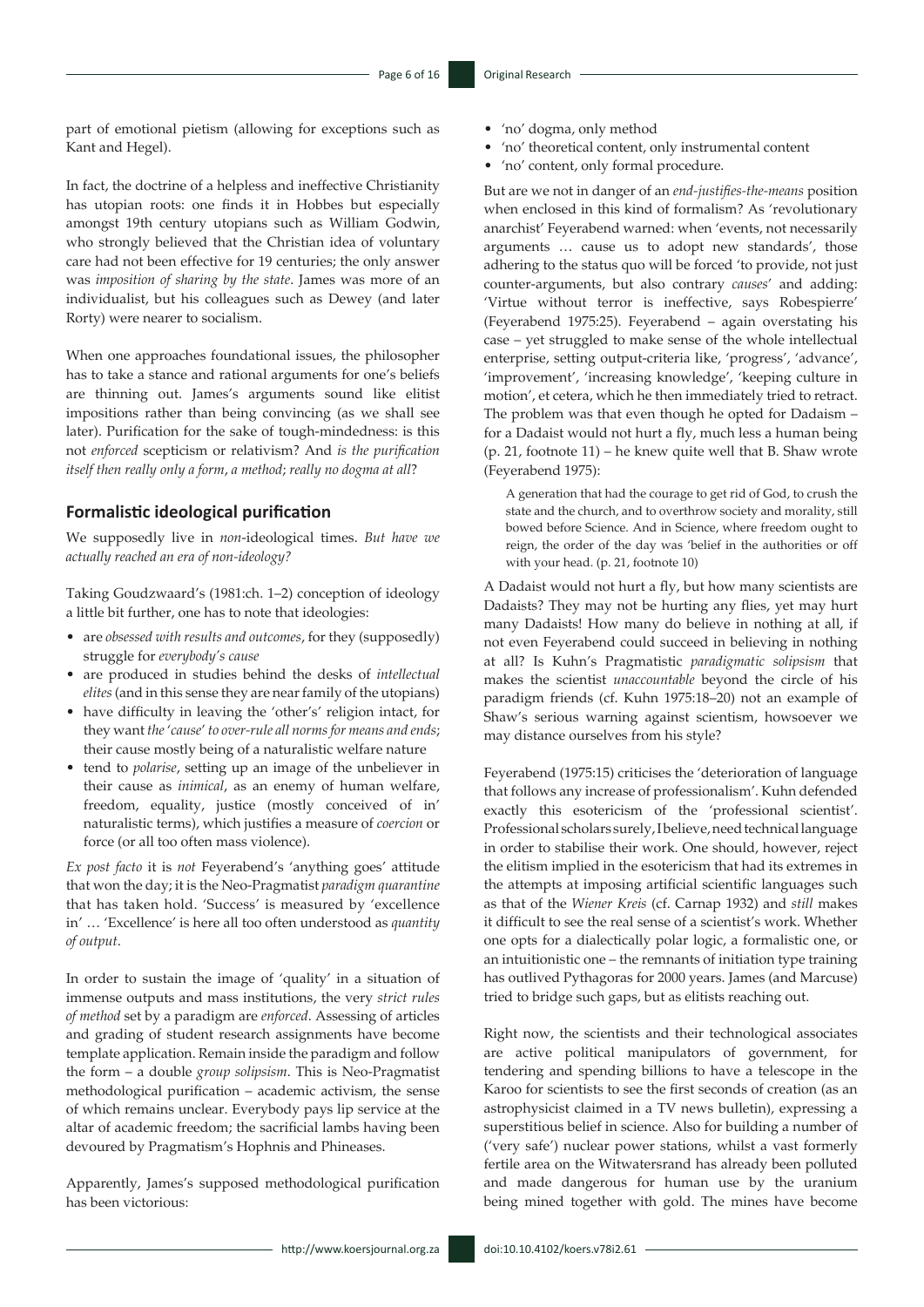part of emotional pietism (allowing for exceptions such as Kant and Hegel).

In fact, the doctrine of a helpless and ineffective Christianity has utopian roots: one finds it in Hobbes but especially amongst 19th century utopians such as William Godwin, who strongly believed that the Christian idea of voluntary care had not been effective for 19 centuries; the only answer was *imposition of sharing by the state*. James was more of an individualist, but his colleagues such as Dewey (and later Rorty) were nearer to socialism.

When one approaches foundational issues, the philosopher has to take a stance and rational arguments for one's beliefs are thinning out. James's arguments sound like elitist impositions rather than being convincing (as we shall see later). Purification for the sake of tough-mindedness: is this not *enforced* scepticism or relativism? And *is the purification itself then really only a form*, *a method*; *really no dogma at all*?

#### **Formalistic ideological purification**

We supposedly live in *non*-ideological times. *But have we actually reached an era of non-ideology?*

Taking Goudzwaard's (1981:ch. 1–2) conception of ideology a little bit further, one has to note that ideologies:

- are *obsessed with results and outcomes*, for they (supposedly) struggle for *everybody's cause*
- are produced in studies behind the desks of *intellectual elites* (and in this sense they are near family of the utopians)
- have difficulty in leaving the 'other's' religion intact, for they want *the* '*cause*' *to over-rule all norms for means and ends*; their cause mostly being of a naturalistic welfare nature
- tend to *polarise*, setting up an image of the unbeliever in their cause as *inimical*, as an enemy of human welfare, freedom, equality, justice (mostly conceived of in' naturalistic terms), which justifies a measure of *coercion* or force (or all too often mass violence).

*Ex post facto* it is *not* Feyerabend's 'anything goes' attitude that won the day; it is the Neo-Pragmatist *paradigm quarantine* that has taken hold. 'Success' is measured by 'excellence in' … 'Excellence' is here all too often understood as *quantity of output*.

In order to sustain the image of 'quality' in a situation of immense outputs and mass institutions, the very *strict rules of method* set by a paradigm are *enforced*. Assessing of articles and grading of student research assignments have become template application. Remain inside the paradigm and follow the form – a double *group solipsism*. This is Neo-Pragmatist methodological purification – academic activism, the sense of which remains unclear. Everybody pays lip service at the altar of academic freedom; the sacrificial lambs having been devoured by Pragmatism's Hophnis and Phineases.

Apparently, James's supposed methodological purification has been victorious:

- 'no' dogma, only method
- 'no' theoretical content, only instrumental content
- 'no' content, only formal procedure.

But are we not in danger of an *end-justifies-the-means* position when enclosed in this kind of formalism? As 'revolutionary anarchist' Feyerabend warned: when 'events, not necessarily arguments … cause us to adopt new standards', those adhering to the status quo will be forced 'to provide, not just counter-arguments, but also contrary *causes*' and adding: 'Virtue without terror is ineffective, says Robespierre' (Feyerabend 1975:25). Feyerabend – again overstating his case – yet struggled to make sense of the whole intellectual enterprise, setting output-criteria like, 'progress', 'advance', 'improvement', 'increasing knowledge', 'keeping culture in motion', et cetera, which he then immediately tried to retract. The problem was that even though he opted for Dadaism – for a Dadaist would not hurt a fly, much less a human being (p. 21, footnote 11) – he knew quite well that B. Shaw wrote (Feyerabend 1975):

A generation that had the courage to get rid of God, to crush the state and the church, and to overthrow society and morality, still bowed before Science. And in Science, where freedom ought to reign, the order of the day was 'belief in the authorities or off with your head. (p. 21, footnote 10)

A Dadaist would not hurt a fly, but how many scientists are Dadaists? They may not be hurting any flies, yet may hurt many Dadaists! How many do believe in nothing at all, if not even Feyerabend could succeed in believing in nothing at all? Is Kuhn's Pragmatistic *paradigmatic solipsism* that makes the scientist *unaccountable* beyond the circle of his paradigm friends (cf. Kuhn 1975:18–20) not an example of Shaw's serious warning against scientism, howsoever we may distance ourselves from his style?

Feyerabend (1975:15) criticises the 'deterioration of language that follows any increase of professionalism'. Kuhn defended exactly this esotericism of the 'professional scientist'. Professional scholars surely, I believe, need technical language in order to stabilise their work. One should, however, reject the elitism implied in the esotericism that had its extremes in the attempts at imposing artificial scientific languages such as that of the *Wiener Kreis* (cf. Carnap 1932) and *still* makes it difficult to see the real sense of a scientist's work. Whether one opts for a dialectically polar logic, a formalistic one, or an intuitionistic one – the remnants of initiation type training has outlived Pythagoras for 2000 years. James (and Marcuse) tried to bridge such gaps, but as elitists reaching out.

Right now, the scientists and their technological associates are active political manipulators of government, for tendering and spending billions to have a telescope in the Karoo for scientists to see the first seconds of creation (as an astrophysicist claimed in a TV news bulletin), expressing a superstitious belief in science. Also for building a number of ('very safe') nuclear power stations, whilst a vast formerly fertile area on the Witwatersrand has already been polluted and made dangerous for human use by the uranium being mined together with gold. The mines have become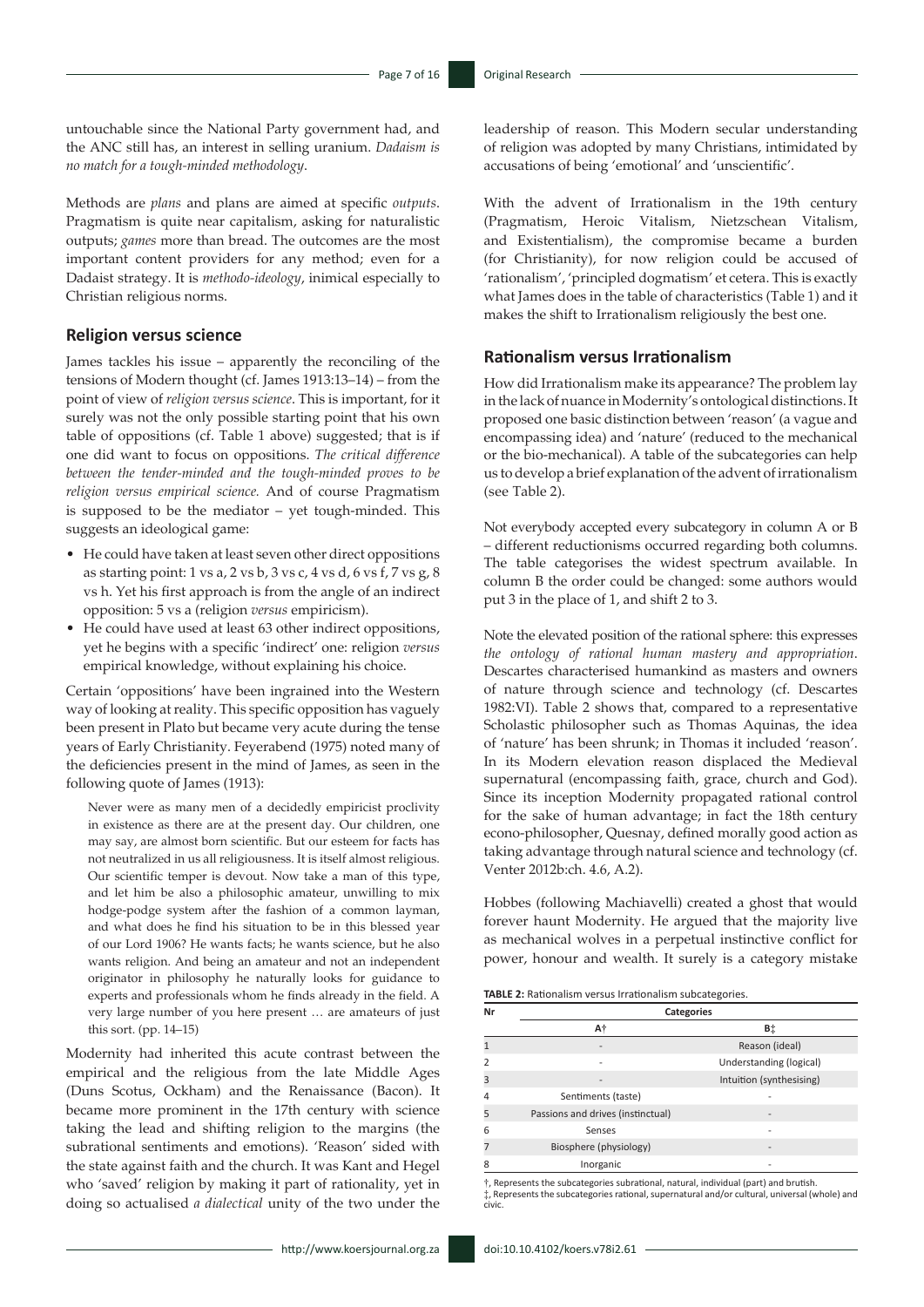untouchable since the National Party government had, and the ANC still has, an interest in selling uranium. *Dadaism is no match for a tough-minded methodology*.

Methods are *plans* and plans are aimed at specific *outputs*. Pragmatism is quite near capitalism, asking for naturalistic outputs; *games* more than bread. The outcomes are the most important content providers for any method; even for a Dadaist strategy. It is *methodo-ideology*, inimical especially to Christian religious norms.

#### **Religion versus science**

James tackles his issue – apparently the reconciling of the tensions of Modern thought (cf. James 1913:13–14) – from the point of view of *religion versus science*. This is important, for it surely was not the only possible starting point that his own table of oppositions (cf. Table 1 above) suggested; that is if one did want to focus on oppositions. *The critical difference between the tender-minded and the tough-minded proves to be religion versus empirical science.* And of course Pragmatism is supposed to be the mediator – yet tough-minded. This suggests an ideological game:

- He could have taken at least seven other direct oppositions as starting point:  $1 \text{ vs } a$ ,  $2 \text{ vs } b$ ,  $3 \text{ vs } c$ ,  $4 \text{ vs } d$ ,  $6 \text{ vs } f$ ,  $7 \text{ vs } g$ ,  $8$ vs h. Yet his first approach is from the angle of an indirect opposition: 5 vs a (religion *versus* empiricism).
- He could have used at least 63 other indirect oppositions, yet he begins with a specific 'indirect' one: religion *versus* empirical knowledge, without explaining his choice.

Certain 'oppositions' have been ingrained into the Western way of looking at reality. This specific opposition has vaguely been present in Plato but became very acute during the tense years of Early Christianity. Feyerabend (1975) noted many of the deficiencies present in the mind of James, as seen in the following quote of James (1913):

Never were as many men of a decidedly empiricist proclivity in existence as there are at the present day. Our children, one may say, are almost born scientific. But our esteem for facts has not neutralized in us all religiousness. It is itself almost religious. Our scientific temper is devout. Now take a man of this type, and let him be also a philosophic amateur, unwilling to mix hodge-podge system after the fashion of a common layman, and what does he find his situation to be in this blessed year of our Lord 1906? He wants facts; he wants science, but he also wants religion. And being an amateur and not an independent originator in philosophy he naturally looks for guidance to experts and professionals whom he finds already in the field. A very large number of you here present … are amateurs of just this sort. (pp. 14–15)

Modernity had inherited this acute contrast between the empirical and the religious from the late Middle Ages (Duns Scotus, Ockham) and the Renaissance (Bacon). It became more prominent in the 17th century with science taking the lead and shifting religion to the margins (the subrational sentiments and emotions). 'Reason' sided with the state against faith and the church. It was Kant and Hegel who 'saved' religion by making it part of rationality, yet in doing so actualised *a dialectical* unity of the two under the

leadership of reason. This Modern secular understanding of religion was adopted by many Christians, intimidated by accusations of being 'emotional' and 'unscientific'.

With the advent of Irrationalism in the 19th century (Pragmatism, Heroic Vitalism, Nietzschean Vitalism, and Existentialism), the compromise became a burden (for Christianity), for now religion could be accused of 'rationalism', 'principled dogmatism' et cetera. This is exactly what James does in the table of characteristics (Table 1) and it makes the shift to Irrationalism religiously the best one.

#### **Rationalism versus Irrationalism**

How did Irrationalism make its appearance? The problem lay in the lack of nuance in Modernity's ontological distinctions. It proposed one basic distinction between 'reason' (a vague and encompassing idea) and 'nature' (reduced to the mechanical or the bio-mechanical). A table of the subcategories can help us to develop a brief explanation of the advent of irrationalism (see Table 2).

Not everybody accepted every subcategory in column A or B – different reductionisms occurred regarding both columns. The table categorises the widest spectrum available. In column B the order could be changed: some authors would put 3 in the place of 1, and shift 2 to 3.

Note the elevated position of the rational sphere: this expresses *the ontology of rational human mastery and appropriation*. Descartes characterised humankind as masters and owners of nature through science and technology (cf. Descartes 1982:VI). Table 2 shows that, compared to a representative Scholastic philosopher such as Thomas Aquinas, the idea of 'nature' has been shrunk; in Thomas it included 'reason'. In its Modern elevation reason displaced the Medieval supernatural (encompassing faith, grace, church and God). Since its inception Modernity propagated rational control for the sake of human advantage; in fact the 18th century econo-philosopher, Quesnay, defined morally good action as taking advantage through natural science and technology (cf. Venter 2012b:ch. 4.6, A.2).

Hobbes (following Machiavelli) created a ghost that would forever haunt Modernity. He argued that the majority live as mechanical wolves in a perpetual instinctive conflict for power, honour and wealth. It surely is a category mistake

**TABLE 2:** Rationalism versus Irrationalism subcategories.

| Nr | Categories                        |                          |  |  |
|----|-----------------------------------|--------------------------|--|--|
|    | Α†                                | Β‡                       |  |  |
|    |                                   | Reason (ideal)           |  |  |
|    |                                   | Understanding (logical)  |  |  |
| 3  |                                   | Intuition (synthesising) |  |  |
| 4  | Sentiments (taste)                |                          |  |  |
| 5  | Passions and drives (instinctual) |                          |  |  |
| 6  | Senses                            |                          |  |  |
|    | Biosphere (physiology)            |                          |  |  |
| 8  | Inorganic                         |                          |  |  |
|    |                                   |                          |  |  |

†, Represents the subcategories subrational, natural, individual (part) and brutish. ‡, Represents the subcategories rational, supernatural and/or cultural, universal (whole) and civic.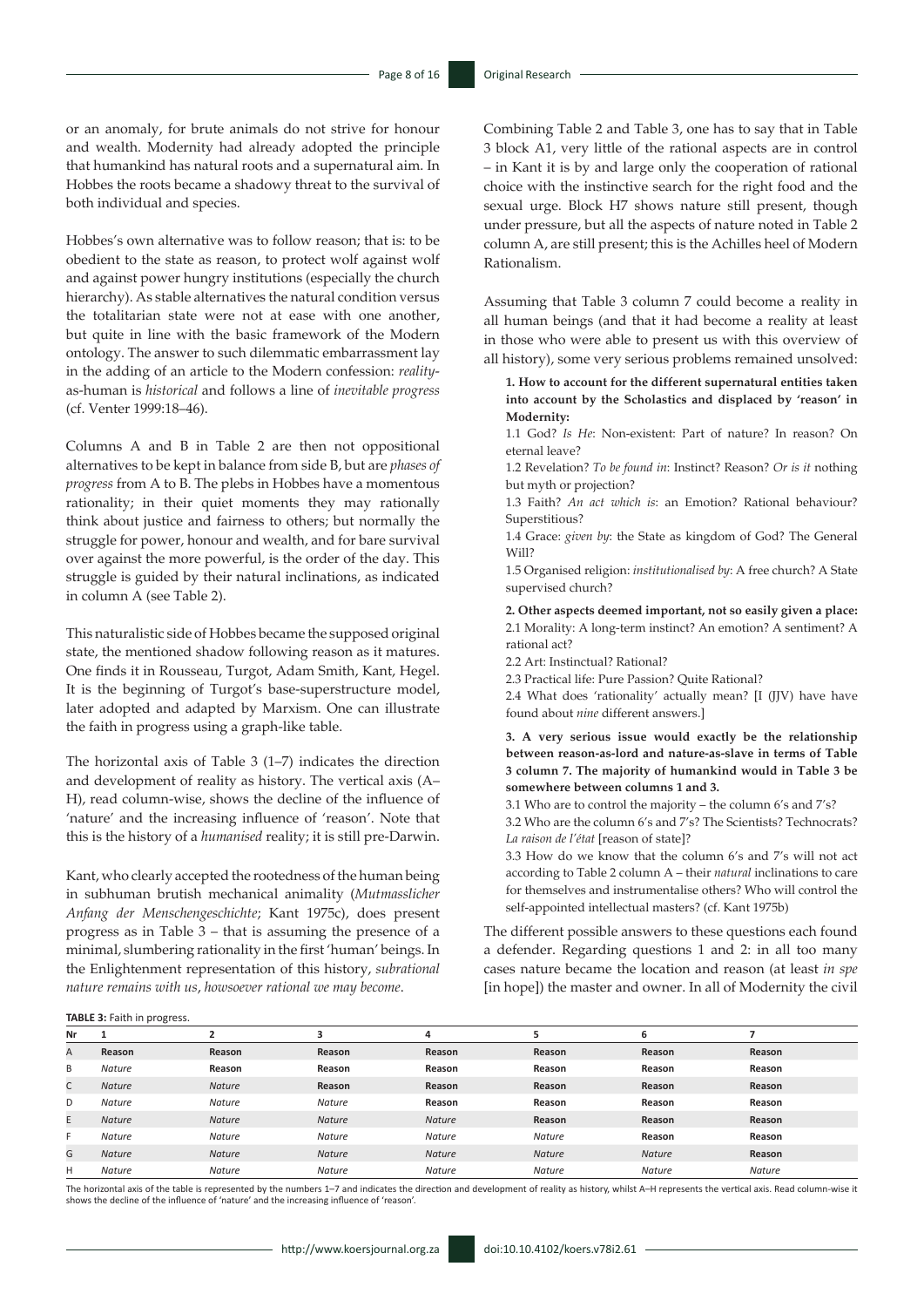or an anomaly, for brute animals do not strive for honour and wealth. Modernity had already adopted the principle that humankind has natural roots and a supernatural aim. In Hobbes the roots became a shadowy threat to the survival of both individual and species.

Hobbes's own alternative was to follow reason; that is: to be obedient to the state as reason, to protect wolf against wolf and against power hungry institutions (especially the church hierarchy). As stable alternatives the natural condition versus the totalitarian state were not at ease with one another, but quite in line with the basic framework of the Modern ontology. The answer to such dilemmatic embarrassment lay in the adding of an article to the Modern confession: *reality*as-human is *historical* and follows a line of *inevitable progress* (cf. Venter 1999:18–46).

Columns A and B in Table 2 are then not oppositional alternatives to be kept in balance from side B, but are *phases of progress* from A to B. The plebs in Hobbes have a momentous rationality; in their quiet moments they may rationally think about justice and fairness to others; but normally the struggle for power, honour and wealth, and for bare survival over against the more powerful, is the order of the day. This struggle is guided by their natural inclinations, as indicated in column A (see Table 2).

This naturalistic side of Hobbes became the supposed original state, the mentioned shadow following reason as it matures. One finds it in Rousseau, Turgot, Adam Smith, Kant, Hegel. It is the beginning of Turgot's base-superstructure model, later adopted and adapted by Marxism. One can illustrate the faith in progress using a graph-like table.

The horizontal axis of Table 3 (1–7) indicates the direction and development of reality as history. The vertical axis (A– H), read column-wise, shows the decline of the influence of 'nature' and the increasing influence of 'reason'. Note that this is the history of a *humanised* reality; it is still pre-Darwin.

Kant, who clearly accepted the rootedness of the human being in subhuman brutish mechanical animality (*Mutmasslicher Anfang der Menschengeschichte*; Kant 1975c), does present progress as in Table 3 – that is assuming the presence of a minimal, slumbering rationality in the first 'human' beings. In the Enlightenment representation of this history, *subrational nature remains with us*, *howsoever rational we may become*.

Combining Table 2 and Table 3, one has to say that in Table 3 block A1, very little of the rational aspects are in control – in Kant it is by and large only the cooperation of rational choice with the instinctive search for the right food and the sexual urge. Block H7 shows nature still present, though under pressure, but all the aspects of nature noted in Table 2 column A, are still present; this is the Achilles heel of Modern Rationalism.

Assuming that Table 3 column 7 could become a reality in all human beings (and that it had become a reality at least in those who were able to present us with this overview of all history), some very serious problems remained unsolved:

**1. How to account for the different supernatural entities taken into account by the Scholastics and displaced by 'reason' in Modernity:**

1.1 God? *Is He*: Non-existent: Part of nature? In reason? On eternal leave?

1.2 Revelation? *To be found in*: Instinct? Reason? *Or is it* nothing but myth or projection?

1.3 Faith? *An act which is*: an Emotion? Rational behaviour? Superstitious?

1.4 Grace: *given by*: the State as kingdom of God? The General Will?

1.5 Organised religion: *institutionalised by*: A free church? A State supervised church?

**2. Other aspects deemed important, not so easily given a place:** 2.1 Morality: A long-term instinct? An emotion? A sentiment? A rational act?

2.2 Art: Instinctual? Rational?

2.3 Practical life: Pure Passion? Quite Rational?

2.4 What does 'rationality' actually mean? [I (JJV) have have found about *nine* different answers.]

**3. A very serious issue would exactly be the relationship between reason-as-lord and nature-as-slave in terms of Table 3 column 7. The majority of humankind would in Table 3 be somewhere between columns 1 and 3.** 

3.1 Who are to control the majority – the column 6's and 7's?

3.2 Who are the column 6's and 7's? The Scientists? Technocrats? *La raison de l'état* [reason of state]?

3.3 How do we know that the column 6's and 7's will not act according to Table 2 column A – their *natural* inclinations to care for themselves and instrumentalise others? Who will control the self-appointed intellectual masters? (cf. Kant 1975b)

The different possible answers to these questions each found a defender. Regarding questions 1 and 2: in all too many cases nature became the location and reason (at least *in spe*  [in hope]) the master and owner. In all of Modernity the civil

**TABLE 3:** Faith in progress.

| Nr |               |               |               | 4             | 5             | 6             |               |
|----|---------------|---------------|---------------|---------------|---------------|---------------|---------------|
| A  | Reason        | Reason        | Reason        | Reason        | Reason        | Reason        | Reason        |
| B  | <b>Nature</b> | Reason        | Reason        | Reason        | Reason        | Reason        | Reason        |
| C  | <b>Nature</b> | <b>Nature</b> | Reason        | Reason        | Reason        | Reason        | Reason        |
| D  | <b>Nature</b> | <b>Nature</b> | Nature        | Reason        | Reason        | Reason        | Reason        |
| E. | <b>Nature</b> | <b>Nature</b> | <b>Nature</b> | <b>Nature</b> | Reason        | Reason        | Reason        |
| F. | <b>Nature</b> | <b>Nature</b> | Nature        | <b>Nature</b> | <b>Nature</b> | Reason        | Reason        |
| G  | <b>Nature</b> | <b>Nature</b> | <b>Nature</b> | <b>Nature</b> | <b>Nature</b> | <b>Nature</b> | Reason        |
| н  | <b>Nature</b> | Nature        | <b>Nature</b> | <b>Nature</b> | <b>Nature</b> | Nature        | <b>Nature</b> |

The horizontal axis of the table is represented by the numbers 1-7 and indicates the direction and development of reality as history, whilst A-H represents the vertical axis. Read column-wise it shows the decline of the influence of 'nature' and the increasing influence of 'reason'.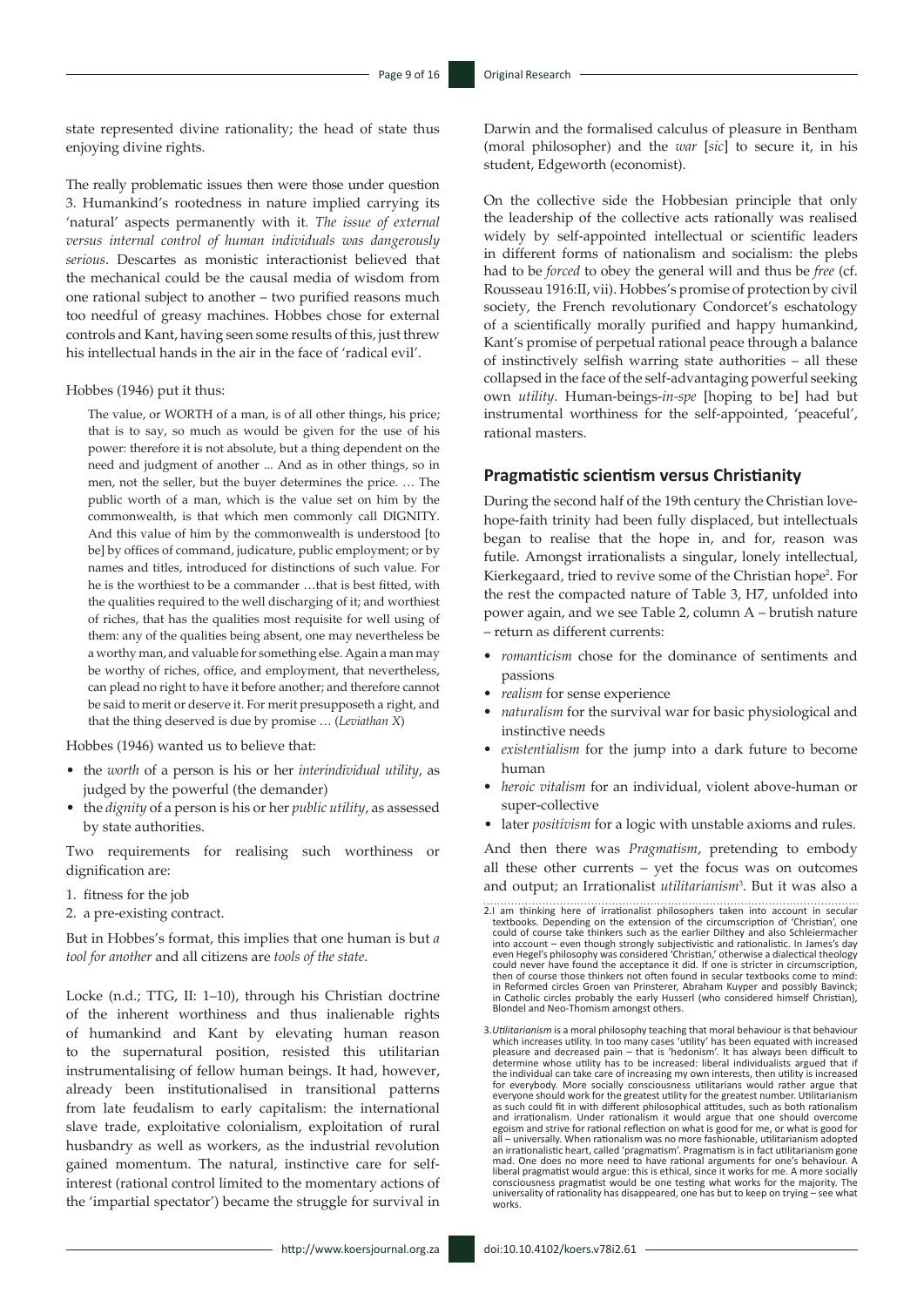state represented divine rationality; the head of state thus enjoying divine rights.

The really problematic issues then were those under question 3. Humankind's rootedness in nature implied carrying its 'natural' aspects permanently with it*. The issue of external versus internal control of human individuals was dangerously serious*. Descartes as monistic interactionist believed that the mechanical could be the causal media of wisdom from one rational subject to another – two purified reasons much too needful of greasy machines. Hobbes chose for external controls and Kant, having seen some results of this, just threw his intellectual hands in the air in the face of 'radical evil'.

Hobbes (1946) put it thus:

The value, or WORTH of a man, is of all other things, his price; that is to say, so much as would be given for the use of his power: therefore it is not absolute, but a thing dependent on the need and judgment of another ... And as in other things, so in men, not the seller, but the buyer determines the price. … The public worth of a man, which is the value set on him by the commonwealth, is that which men commonly call DIGNITY. And this value of him by the commonwealth is understood [to be] by offices of command, judicature, public employment; or by names and titles, introduced for distinctions of such value. For he is the worthiest to be a commander …that is best fitted, with the qualities required to the well discharging of it; and worthiest of riches, that has the qualities most requisite for well using of them: any of the qualities being absent, one may nevertheless be a worthy man, and valuable for something else. Again a man may be worthy of riches, office, and employment, that nevertheless, can plead no right to have it before another; and therefore cannot be said to merit or deserve it. For merit presupposeth a right, and that the thing deserved is due by promise … (*Leviathan X*)

Hobbes (1946) wanted us to believe that:

- the *worth* of a person is his or her *interindividual utility*, as judged by the powerful (the demander)
- the *dignity* of a person is his or her *public utility*, as assessed by state authorities.

Two requirements for realising such worthiness or dignification are:

- 1. fitness for the job
- 2. a pre-existing contract.

But in Hobbes's format, this implies that one human is but *a tool for another* and all citizens are *tools of the state*.

Locke (n.d.; TTG, II: 1–10), through his Christian doctrine of the inherent worthiness and thus inalienable rights of humankind and Kant by elevating human reason to the supernatural position, resisted this utilitarian instrumentalising of fellow human beings. It had, however, already been institutionalised in transitional patterns from late feudalism to early capitalism: the international slave trade, exploitative colonialism, exploitation of rural husbandry as well as workers, as the industrial revolution gained momentum. The natural, instinctive care for selfinterest (rational control limited to the momentary actions of the 'impartial spectator') became the struggle for survival in Darwin and the formalised calculus of pleasure in Bentham (moral philosopher) and the *war* [*sic*] to secure it, in his student, Edgeworth (economist).

On the collective side the Hobbesian principle that only the leadership of the collective acts rationally was realised widely by self-appointed intellectual or scientific leaders in different forms of nationalism and socialism: the plebs had to be *forced* to obey the general will and thus be *free* (cf. Rousseau 1916:II, vii). Hobbes's promise of protection by civil society, the French revolutionary Condorcet's eschatology of a scientifically morally purified and happy humankind, Kant's promise of perpetual rational peace through a balance of instinctively selfish warring state authorities – all these collapsed in the face of the self-advantaging powerful seeking own *utility*. Human-beings-*in-spe* [hoping to be] had but instrumental worthiness for the self-appointed, 'peaceful', rational masters.

#### **Pragmatistic scientism versus Christianity**

During the second half of the 19th century the Christian lovehope-faith trinity had been fully displaced, but intellectuals began to realise that the hope in, and for, reason was futile. Amongst irrationalists a singular, lonely intellectual, Kierkegaard, tried to revive some of the Christian hope<sup>2</sup>. For the rest the compacted nature of Table 3, H7, unfolded into power again, and we see Table 2, column A – brutish nature – return as different currents:

- *• romanticism* chose for the dominance of sentiments and passions
- *• realism* for sense experience
- *• naturalism* for the survival war for basic physiological and instinctive needs
- *• existentialism* for the jump into a dark future to become human
- *• heroic vitalism* for an individual, violent above-human or super-collective
- later *positivism* for a logic with unstable axioms and rules.

And then there was *Pragmatism*, pretending to embody all these other currents – yet the focus was on outcomes and output; an Irrationalist *utilitarianism*<sup>3</sup> . But it was also a

2.I am thinking here of irrationalist philosophers taken into account in secular textbooks. Depending on the extension of the circumscription of 'Christian', one could of course take thinkers such as the earlier Dilthey and also Schleiermacher into account – even though strongly subjectivistic and rationalistic. In James's day even Hegel's philosophy was considered 'Christian,' otherwise a dialectical theology could never have found the acceptance it did. If one is stricter in circumscription, then of course those thinkers not often found in secular textbooks come to mind: in Reformed circles Groen van Prinsterer, Abraham Kuyper and possibly Bavinck; in Catholic circles probably the early Husserl (who considered himself Christian), Blondel and Neo-Thomism amongst others.

<sup>3.</sup>Utilitarianism is a moral philosophy teaching that moral behaviour is that behaviour which increased utility. In too many cases 'utility' has been equated with increased plane pleasure and decreased pain – that is 'hedon the individual can take care of increasing my own interests, then utility is increased for everybody. More socially consciousness utilitarians would rather argue that everyone should work for the greatest utility for the greatest number. Utilitarianism as such could fit in with different philosophical attitudes, such as both rationalism and irrationalism. Under rationalism it would argue that one should overcome egoism and strive for rational reflection on what is good for me, or what is good for<br>all – universally. When rationalism was no more fashionable, utilitarianism adopted<br>an irrationalistic heart, called 'pragmatism'. Pragm mad. One does no more need to have rational arguments for one's behaviour. A liberal pragmatist would argue: this is ethical, since it works for me. A more socially consciousness pragmatist would be one testing what works for the majority. The universality of rationality has disappeared, one has but to keep on trying – see what works.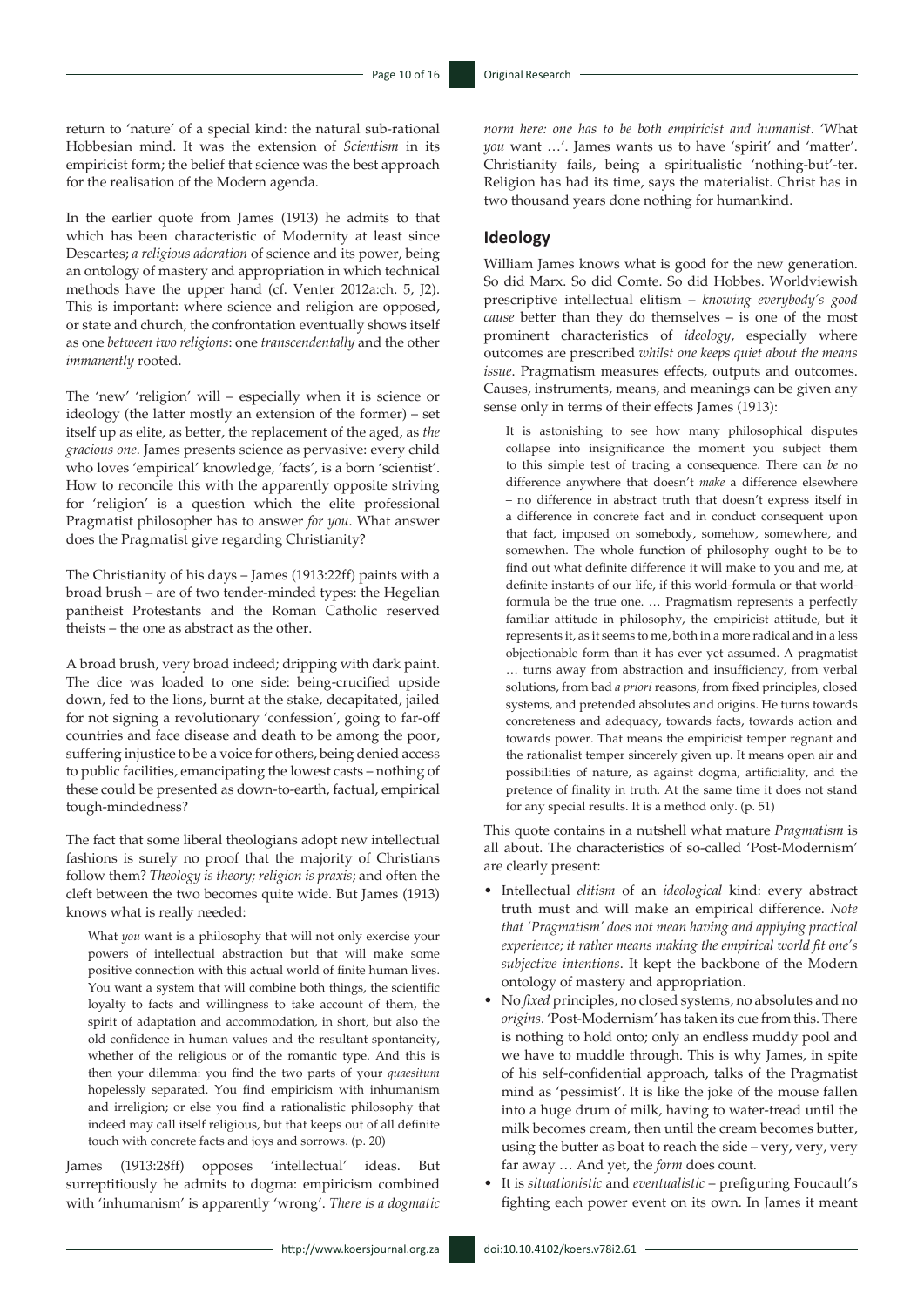return to 'nature' of a special kind: the natural sub-rational Hobbesian mind. It was the extension of *Scientism* in its empiricist form; the belief that science was the best approach for the realisation of the Modern agenda.

In the earlier quote from James (1913) he admits to that which has been characteristic of Modernity at least since Descartes; *a religious adoration* of science and its power, being an ontology of mastery and appropriation in which technical methods have the upper hand (cf. Venter 2012a:ch. 5, J2). This is important: where science and religion are opposed, or state and church, the confrontation eventually shows itself as one *between two religions*: one *transcendentally* and the other *immanently* rooted.

The 'new' 'religion' will – especially when it is science or ideology (the latter mostly an extension of the former) – set itself up as elite, as better, the replacement of the aged, as *the gracious one*. James presents science as pervasive: every child who loves 'empirical' knowledge, 'facts', is a born 'scientist'. How to reconcile this with the apparently opposite striving for 'religion' is a question which the elite professional Pragmatist philosopher has to answer *for you*. What answer does the Pragmatist give regarding Christianity?

The Christianity of his days – James (1913:22ff) paints with a broad brush – are of two tender-minded types: the Hegelian pantheist Protestants and the Roman Catholic reserved theists – the one as abstract as the other.

A broad brush, very broad indeed; dripping with dark paint. The dice was loaded to one side: being-crucified upside down, fed to the lions, burnt at the stake, decapitated, jailed for not signing a revolutionary 'confession', going to far-off countries and face disease and death to be among the poor, suffering injustice to be a voice for others, being denied access to public facilities, emancipating the lowest casts – nothing of these could be presented as down-to-earth, factual, empirical tough-mindedness?

The fact that some liberal theologians adopt new intellectual fashions is surely no proof that the majority of Christians follow them? *Theology is theory; religion is praxis*; and often the cleft between the two becomes quite wide. But James (1913) knows what is really needed:

What *you* want is a philosophy that will not only exercise your powers of intellectual abstraction but that will make some positive connection with this actual world of finite human lives. You want a system that will combine both things, the scientific loyalty to facts and willingness to take account of them, the spirit of adaptation and accommodation, in short, but also the old confidence in human values and the resultant spontaneity, whether of the religious or of the romantic type. And this is then your dilemma: you find the two parts of your *quaesitum* hopelessly separated. You find empiricism with inhumanism and irreligion; or else you find a rationalistic philosophy that indeed may call itself religious, but that keeps out of all definite touch with concrete facts and joys and sorrows. (p. 20)

James (1913:28ff) opposes 'intellectual' ideas. But surreptitiously he admits to dogma: empiricism combined with 'inhumanism' is apparently 'wrong'. *There is a dogmatic* 

*norm here: one has to be both empiricist and humanist*. 'What *you* want …'. James wants us to have 'spirit' and 'matter'. Christianity fails, being a spiritualistic 'nothing-but'-ter. Religion has had its time, says the materialist. Christ has in two thousand years done nothing for humankind.

#### **Ideology**

William James knows what is good for the new generation. So did Marx. So did Comte. So did Hobbes. Worldviewish prescriptive intellectual elitism – *knowing everybody's good cause* better than they do themselves – is one of the most prominent characteristics of *ideology*, especially where outcomes are prescribed *whilst one keeps quiet about the means issue*. Pragmatism measures effects, outputs and outcomes. Causes, instruments, means, and meanings can be given any sense only in terms of their effects James (1913):

It is astonishing to see how many philosophical disputes collapse into insignificance the moment you subject them to this simple test of tracing a consequence. There can *be* no difference anywhere that doesn't *make* a difference elsewhere – no difference in abstract truth that doesn't express itself in a difference in concrete fact and in conduct consequent upon that fact, imposed on somebody, somehow, somewhere, and somewhen. The whole function of philosophy ought to be to find out what definite difference it will make to you and me, at definite instants of our life, if this world-formula or that worldformula be the true one. … Pragmatism represents a perfectly familiar attitude in philosophy, the empiricist attitude, but it represents it, as it seems to me, both in a more radical and in a less objectionable form than it has ever yet assumed. A pragmatist … turns away from abstraction and insufficiency, from verbal solutions, from bad *a priori* reasons, from fixed principles, closed systems, and pretended absolutes and origins. He turns towards concreteness and adequacy, towards facts, towards action and towards power. That means the empiricist temper regnant and the rationalist temper sincerely given up. It means open air and possibilities of nature, as against dogma, artificiality, and the pretence of finality in truth. At the same time it does not stand for any special results. It is a method only. (p. 51)

This quote contains in a nutshell what mature *Pragmatism* is all about. The characteristics of so-called 'Post-Modernism' are clearly present:

- Intellectual *elitism* of an *ideological* kind: every abstract truth must and will make an empirical difference. *Note that 'Pragmatism' does not mean having and applying practical experience; it rather means making the empirical world fit one's subjective intentions*. It kept the backbone of the Modern ontology of mastery and appropriation.
- No *fixed* principles, no closed systems, no absolutes and no *origins*. 'Post-Modernism' has taken its cue from this. There is nothing to hold onto; only an endless muddy pool and we have to muddle through. This is why James, in spite of his self-confidential approach, talks of the Pragmatist mind as 'pessimist'. It is like the joke of the mouse fallen into a huge drum of milk, having to water-tread until the milk becomes cream, then until the cream becomes butter, using the butter as boat to reach the side – very, very, very far away … And yet, the *form* does count.
- It is *situationistic* and *eventualistic* prefiguring Foucault's fighting each power event on its own. In James it meant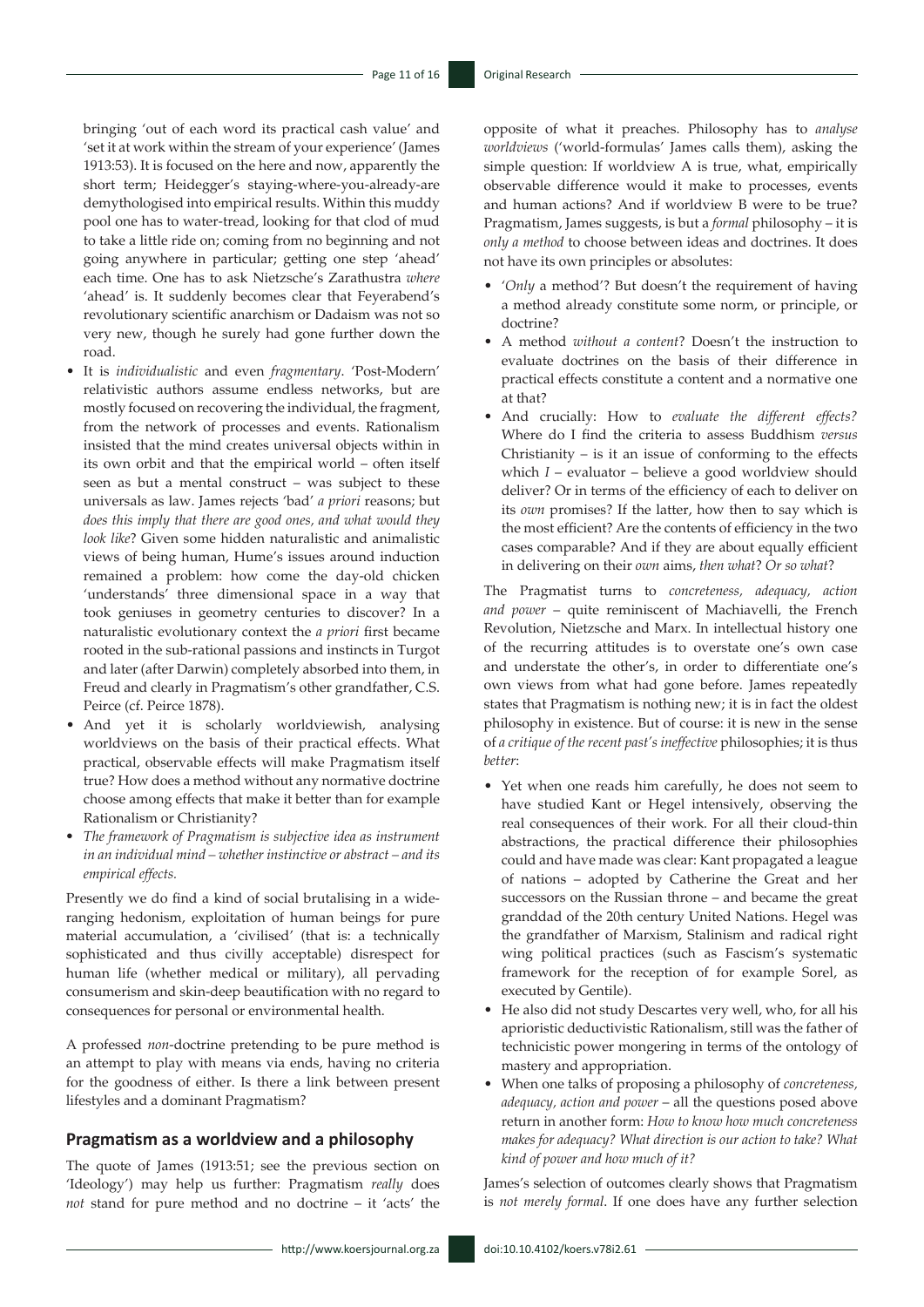bringing 'out of each word its practical cash value' and 'set it at work within the stream of your experience' (James 1913:53). It is focused on the here and now, apparently the short term; Heidegger's staying-where-you-already-are demythologised into empirical results. Within this muddy pool one has to water-tread, looking for that clod of mud to take a little ride on; coming from no beginning and not going anywhere in particular; getting one step 'ahead' each time. One has to ask Nietzsche's Zarathustra *where* 'ahead' is. It suddenly becomes clear that Feyerabend's revolutionary scientific anarchism or Dadaism was not so very new, though he surely had gone further down the road.

- It is *individualistic* and even *fragmentary*. 'Post-Modern' relativistic authors assume endless networks, but are mostly focused on recovering the individual, the fragment, from the network of processes and events. Rationalism insisted that the mind creates universal objects within in its own orbit and that the empirical world – often itself seen as but a mental construct – was subject to these universals as law. James rejects 'bad' *a priori* reasons; but *does this imply that there are good ones, and what would they look like*? Given some hidden naturalistic and animalistic views of being human, Hume's issues around induction remained a problem: how come the day-old chicken 'understands' three dimensional space in a way that took geniuses in geometry centuries to discover? In a naturalistic evolutionary context the *a priori* first became rooted in the sub-rational passions and instincts in Turgot and later (after Darwin) completely absorbed into them, in Freud and clearly in Pragmatism's other grandfather, C.S. Peirce (cf. Peirce 1878).
- And yet it is scholarly worldviewish, analysing worldviews on the basis of their practical effects. What practical, observable effects will make Pragmatism itself true? How does a method without any normative doctrine choose among effects that make it better than for example Rationalism or Christianity?
- *• The framework of Pragmatism is subjective idea as instrument in an individual mind – whether instinctive or abstract – and its empirical effects.*

Presently we do find a kind of social brutalising in a wideranging hedonism, exploitation of human beings for pure material accumulation, a 'civilised' (that is: a technically sophisticated and thus civilly acceptable) disrespect for human life (whether medical or military), all pervading consumerism and skin-deep beautification with no regard to consequences for personal or environmental health.

A professed *non*-doctrine pretending to be pure method is an attempt to play with means via ends, having no criteria for the goodness of either. Is there a link between present lifestyles and a dominant Pragmatism?

#### **Pragmatism as a worldview and a philosophy**

The quote of James (1913:51; see the previous section on 'Ideology') may help us further: Pragmatism *really* does *not* stand for pure method and no doctrine – it 'acts' the opposite of what it preaches. Philosophy has to *analyse worldviews* ('world-formulas' James calls them), asking the simple question: If worldview A is true, what, empirically observable difference would it make to processes, events and human actions? And if worldview B were to be true? Pragmatism, James suggests, is but a *formal* philosophy – it is *only a method* to choose between ideas and doctrines. It does not have its own principles or absolutes:

- '*Only* a method'? But doesn't the requirement of having a method already constitute some norm, or principle, or doctrine?
- A method *without a content*? Doesn't the instruction to evaluate doctrines on the basis of their difference in practical effects constitute a content and a normative one at that?
- And crucially: How to *evaluate the different effects?* Where do I find the criteria to assess Buddhism *versus* Christianity  $-$  is it an issue of conforming to the effects which *I* – evaluator – believe a good worldview should deliver? Or in terms of the efficiency of each to deliver on its *own* promises? If the latter, how then to say which is the most efficient? Are the contents of efficiency in the two cases comparable? And if they are about equally efficient in delivering on their *own* aims, *then what*? *Or so what*?

The Pragmatist turns to *concreteness, adequacy, action and power* – quite reminiscent of Machiavelli, the French Revolution, Nietzsche and Marx. In intellectual history one of the recurring attitudes is to overstate one's own case and understate the other's, in order to differentiate one's own views from what had gone before. James repeatedly states that Pragmatism is nothing new; it is in fact the oldest philosophy in existence. But of course: it is new in the sense of *a critique of the recent past's ineffective* philosophies; it is thus *better*:

- Yet when one reads him carefully, he does not seem to have studied Kant or Hegel intensively, observing the real consequences of their work. For all their cloud-thin abstractions, the practical difference their philosophies could and have made was clear: Kant propagated a league of nations – adopted by Catherine the Great and her successors on the Russian throne – and became the great granddad of the 20th century United Nations. Hegel was the grandfather of Marxism, Stalinism and radical right wing political practices (such as Fascism's systematic framework for the reception of for example Sorel, as executed by Gentile).
- He also did not study Descartes very well, who, for all his aprioristic deductivistic Rationalism, still was the father of technicistic power mongering in terms of the ontology of mastery and appropriation.
- When one talks of proposing a philosophy of *concreteness, adequacy, action and power* – all the questions posed above return in another form: *How to know how much concreteness makes for adequacy? What direction is our action to take? What kind of power and how much of it?*

James's selection of outcomes clearly shows that Pragmatism is *not merely formal*. If one does have any further selection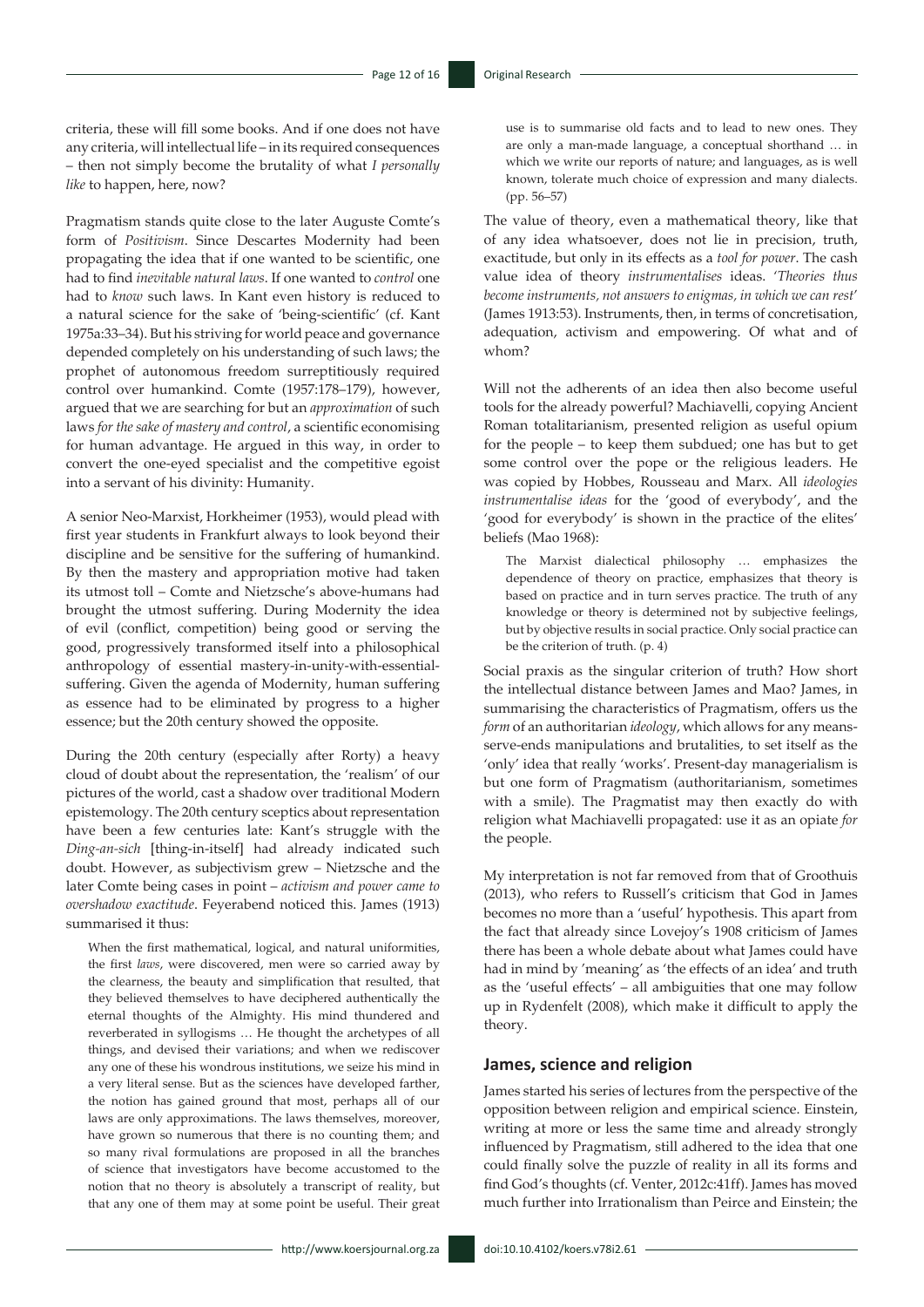criteria, these will fill some books. And if one does not have any criteria, will intellectual life – in its required consequences – then not simply become the brutality of what *I personally like* to happen, here, now?

Pragmatism stands quite close to the later Auguste Comte's form of *Positivism*. Since Descartes Modernity had been propagating the idea that if one wanted to be scientific, one had to find *inevitable natural laws*. If one wanted to *control* one had to *know* such laws. In Kant even history is reduced to a natural science for the sake of 'being-scientific' (cf. Kant 1975a:33–34). But his striving for world peace and governance depended completely on his understanding of such laws; the prophet of autonomous freedom surreptitiously required control over humankind. Comte (1957:178–179), however, argued that we are searching for but an *approximation* of such laws *for the sake of mastery and control*, a scientific economising for human advantage. He argued in this way, in order to convert the one-eyed specialist and the competitive egoist into a servant of his divinity: Humanity.

A senior Neo-Marxist, Horkheimer (1953), would plead with first year students in Frankfurt always to look beyond their discipline and be sensitive for the suffering of humankind. By then the mastery and appropriation motive had taken its utmost toll – Comte and Nietzsche's above-humans had brought the utmost suffering. During Modernity the idea of evil (conflict, competition) being good or serving the good, progressively transformed itself into a philosophical anthropology of essential mastery-in-unity-with-essentialsuffering. Given the agenda of Modernity, human suffering as essence had to be eliminated by progress to a higher essence; but the 20th century showed the opposite.

During the 20th century (especially after Rorty) a heavy cloud of doubt about the representation, the 'realism' of our pictures of the world, cast a shadow over traditional Modern epistemology. The 20th century sceptics about representation have been a few centuries late: Kant's struggle with the *Ding-an-sich* [thing-in-itself] had already indicated such doubt. However, as subjectivism grew – Nietzsche and the later Comte being cases in point – *activism and power came to overshadow exactitude*. Feyerabend noticed this. James (1913) summarised it thus:

When the first mathematical, logical, and natural uniformities, the first *laws*, were discovered, men were so carried away by the clearness, the beauty and simplification that resulted, that they believed themselves to have deciphered authentically the eternal thoughts of the Almighty. His mind thundered and reverberated in syllogisms … He thought the archetypes of all things, and devised their variations; and when we rediscover any one of these his wondrous institutions, we seize his mind in a very literal sense. But as the sciences have developed farther, the notion has gained ground that most, perhaps all of our laws are only approximations. The laws themselves, moreover, have grown so numerous that there is no counting them; and so many rival formulations are proposed in all the branches of science that investigators have become accustomed to the notion that no theory is absolutely a transcript of reality, but that any one of them may at some point be useful. Their great use is to summarise old facts and to lead to new ones. They are only a man-made language, a conceptual shorthand … in which we write our reports of nature; and languages, as is well known, tolerate much choice of expression and many dialects. (pp. 56–57)

The value of theory, even a mathematical theory, like that of any idea whatsoever, does not lie in precision, truth, exactitude, but only in its effects as a *tool for power*. The cash value idea of theory *instrumentalises* ideas. '*Theories thus become instruments, not answers to enigmas, in which we can rest*' (James 1913:53). Instruments, then, in terms of concretisation, adequation, activism and empowering. Of what and of whom?

Will not the adherents of an idea then also become useful tools for the already powerful? Machiavelli, copying Ancient Roman totalitarianism, presented religion as useful opium for the people – to keep them subdued; one has but to get some control over the pope or the religious leaders. He was copied by Hobbes, Rousseau and Marx. All *ideologies instrumentalise ideas* for the 'good of everybody', and the 'good for everybody' is shown in the practice of the elites' beliefs (Mao 1968):

The Marxist dialectical philosophy … emphasizes the dependence of theory on practice, emphasizes that theory is based on practice and in turn serves practice. The truth of any knowledge or theory is determined not by subjective feelings, but by objective results in social practice. Only social practice can be the criterion of truth. (p. 4)

Social praxis as the singular criterion of truth? How short the intellectual distance between James and Mao? James, in summarising the characteristics of Pragmatism, offers us the *form* of an authoritarian *ideology*, which allows for any meansserve-ends manipulations and brutalities, to set itself as the 'only' idea that really 'works'. Present-day managerialism is but one form of Pragmatism (authoritarianism, sometimes with a smile). The Pragmatist may then exactly do with religion what Machiavelli propagated: use it as an opiate *for*  the people.

My interpretation is not far removed from that of Groothuis (2013), who refers to Russell's criticism that God in James becomes no more than a 'useful' hypothesis. This apart from the fact that already since Lovejoy's 1908 criticism of James there has been a whole debate about what James could have had in mind by 'meaning' as 'the effects of an idea' and truth as the 'useful effects' – all ambiguities that one may follow up in Rydenfelt (2008), which make it difficult to apply the theory.

#### **James, science and religion**

James started his series of lectures from the perspective of the opposition between religion and empirical science. Einstein, writing at more or less the same time and already strongly influenced by Pragmatism, still adhered to the idea that one could finally solve the puzzle of reality in all its forms and find God's thoughts (cf. Venter, 2012c:41ff). James has moved much further into Irrationalism than Peirce and Einstein; the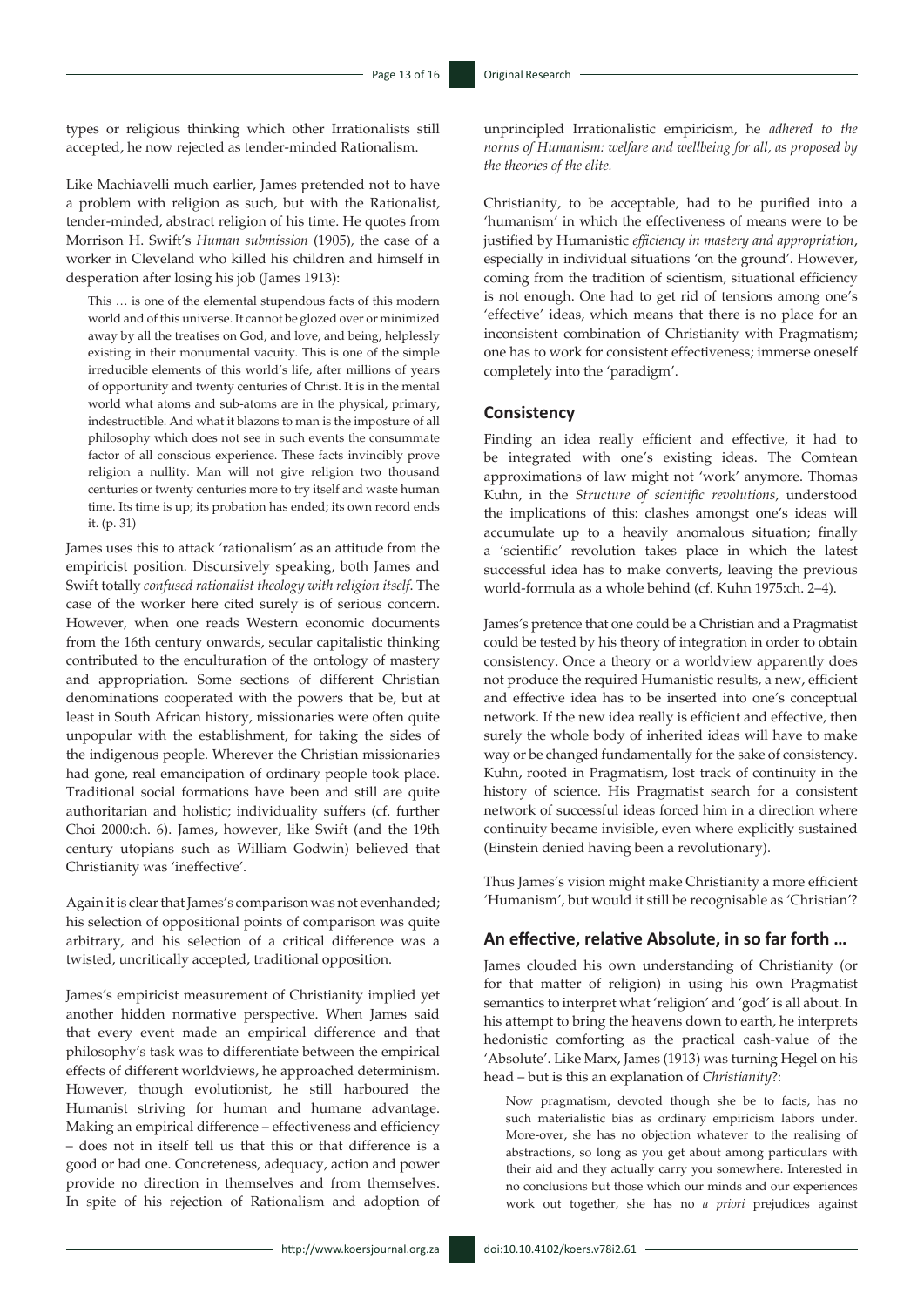types or religious thinking which other Irrationalists still accepted, he now rejected as tender-minded Rationalism.

Like Machiavelli much earlier, James pretended not to have a problem with religion as such, but with the Rationalist, tender-minded, abstract religion of his time. He quotes from Morrison H. Swift's *Human submission* (1905)*,* the case of a worker in Cleveland who killed his children and himself in desperation after losing his job (James 1913):

This … is one of the elemental stupendous facts of this modern world and of this universe. It cannot be glozed over or minimized away by all the treatises on God, and love, and being, helplessly existing in their monumental vacuity. This is one of the simple irreducible elements of this world's life, after millions of years of opportunity and twenty centuries of Christ. It is in the mental world what atoms and sub-atoms are in the physical, primary, indestructible. And what it blazons to man is the imposture of all philosophy which does not see in such events the consummate factor of all conscious experience. These facts invincibly prove religion a nullity. Man will not give religion two thousand centuries or twenty centuries more to try itself and waste human time. Its time is up; its probation has ended; its own record ends it. (p. 31)

James uses this to attack 'rationalism' as an attitude from the empiricist position. Discursively speaking, both James and Swift totally *confused rationalist theology with religion itself*. The case of the worker here cited surely is of serious concern. However, when one reads Western economic documents from the 16th century onwards, secular capitalistic thinking contributed to the enculturation of the ontology of mastery and appropriation. Some sections of different Christian denominations cooperated with the powers that be, but at least in South African history, missionaries were often quite unpopular with the establishment, for taking the sides of the indigenous people. Wherever the Christian missionaries had gone, real emancipation of ordinary people took place. Traditional social formations have been and still are quite authoritarian and holistic; individuality suffers (cf. further Choi 2000:ch. 6). James, however, like Swift (and the 19th century utopians such as William Godwin) believed that Christianity was 'ineffective'.

Again it is clear that James's comparison was not evenhanded; his selection of oppositional points of comparison was quite arbitrary, and his selection of a critical difference was a twisted, uncritically accepted, traditional opposition.

James's empiricist measurement of Christianity implied yet another hidden normative perspective. When James said that every event made an empirical difference and that philosophy's task was to differentiate between the empirical effects of different worldviews, he approached determinism. However, though evolutionist, he still harboured the Humanist striving for human and humane advantage. Making an empirical difference – effectiveness and efficiency – does not in itself tell us that this or that difference is a good or bad one. Concreteness, adequacy, action and power provide no direction in themselves and from themselves. In spite of his rejection of Rationalism and adoption of unprincipled Irrationalistic empiricism, he *adhered to the norms of Humanism: welfare and wellbeing for all, as proposed by the theories of the elite.* 

Christianity, to be acceptable, had to be purified into a 'humanism' in which the effectiveness of means were to be justified by Humanistic *efficiency in mastery and appropriation*, especially in individual situations 'on the ground'. However, coming from the tradition of scientism, situational efficiency is not enough. One had to get rid of tensions among one's 'effective' ideas, which means that there is no place for an inconsistent combination of Christianity with Pragmatism; one has to work for consistent effectiveness; immerse oneself completely into the 'paradigm'.

#### **Consistency**

Finding an idea really efficient and effective, it had to be integrated with one's existing ideas. The Comtean approximations of law might not 'work' anymore. Thomas Kuhn, in the *Structure of scientific revolutions*, understood the implications of this: clashes amongst one's ideas will accumulate up to a heavily anomalous situation; finally a 'scientific' revolution takes place in which the latest successful idea has to make converts, leaving the previous world-formula as a whole behind (cf. Kuhn 1975:ch. 2–4).

James's pretence that one could be a Christian and a Pragmatist could be tested by his theory of integration in order to obtain consistency. Once a theory or a worldview apparently does not produce the required Humanistic results, a new, efficient and effective idea has to be inserted into one's conceptual network. If the new idea really is efficient and effective, then surely the whole body of inherited ideas will have to make way or be changed fundamentally for the sake of consistency. Kuhn, rooted in Pragmatism, lost track of continuity in the history of science. His Pragmatist search for a consistent network of successful ideas forced him in a direction where continuity became invisible, even where explicitly sustained (Einstein denied having been a revolutionary).

Thus James's vision might make Christianity a more efficient 'Humanism', but would it still be recognisable as 'Christian'?

#### **An effective, relative Absolute, in so far forth …**

James clouded his own understanding of Christianity (or for that matter of religion) in using his own Pragmatist semantics to interpret what 'religion' and 'god' is all about. In his attempt to bring the heavens down to earth, he interprets hedonistic comforting as the practical cash-value of the 'Absolute'. Like Marx, James (1913) was turning Hegel on his head – but is this an explanation of *Christianity*?:

Now pragmatism, devoted though she be to facts, has no such materialistic bias as ordinary empiricism labors under. More-over, she has no objection whatever to the realising of abstractions, so long as you get about among particulars with their aid and they actually carry you somewhere. Interested in no conclusions but those which our minds and our experiences work out together, she has no *a priori* prejudices against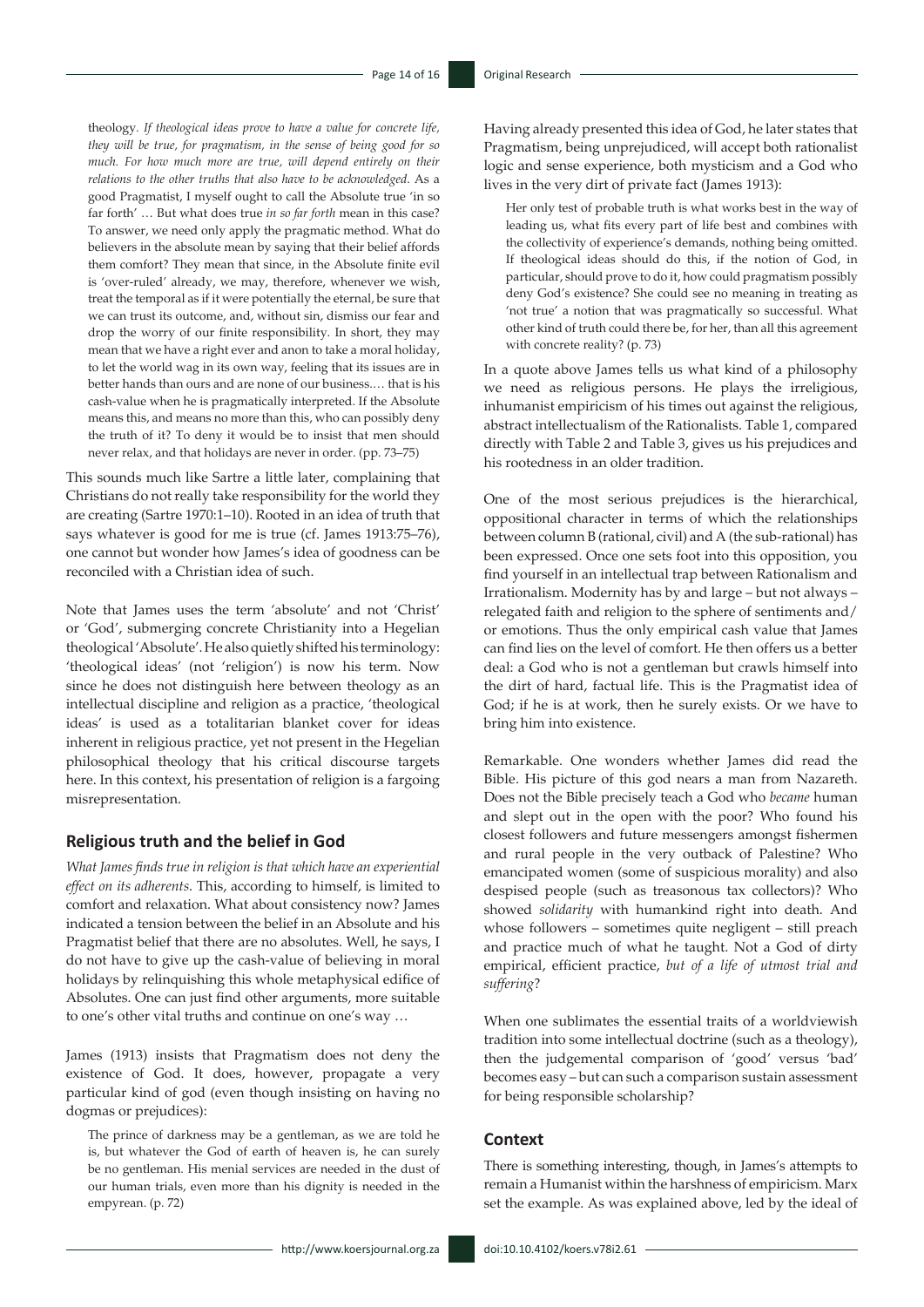theology*. If theological ideas prove to have a value for concrete life, they will be true, for pragmatism, in the sense of being good for so much. For how much more are true, will depend entirely on their relations to the other truths that also have to be acknowledged*. As a good Pragmatist, I myself ought to call the Absolute true 'in so far forth' … But what does true *in so far forth* mean in this case? To answer, we need only apply the pragmatic method. What do believers in the absolute mean by saying that their belief affords them comfort? They mean that since, in the Absolute finite evil is 'over-ruled' already, we may, therefore, whenever we wish, treat the temporal as if it were potentially the eternal, be sure that we can trust its outcome, and, without sin, dismiss our fear and drop the worry of our finite responsibility. In short, they may mean that we have a right ever and anon to take a moral holiday, to let the world wag in its own way, feeling that its issues are in better hands than ours and are none of our business.… that is his cash-value when he is pragmatically interpreted. If the Absolute means this, and means no more than this, who can possibly deny the truth of it? To deny it would be to insist that men should never relax, and that holidays are never in order. (pp. 73–75)

This sounds much like Sartre a little later, complaining that Christians do not really take responsibility for the world they are creating (Sartre 1970:1–10). Rooted in an idea of truth that says whatever is good for me is true (cf. James 1913:75–76), one cannot but wonder how James's idea of goodness can be reconciled with a Christian idea of such.

Note that James uses the term 'absolute' and not 'Christ' or 'God', submerging concrete Christianity into a Hegelian theological 'Absolute'. He also quietly shifted his terminology: 'theological ideas' (not 'religion') is now his term. Now since he does not distinguish here between theology as an intellectual discipline and religion as a practice, 'theological ideas' is used as a totalitarian blanket cover for ideas inherent in religious practice, yet not present in the Hegelian philosophical theology that his critical discourse targets here. In this context, his presentation of religion is a fargoing misrepresentation.

#### **Religious truth and the belief in God**

*What James finds true in religion is that which have an experiential effect on its adherents*. This, according to himself, is limited to comfort and relaxation. What about consistency now? James indicated a tension between the belief in an Absolute and his Pragmatist belief that there are no absolutes. Well, he says, I do not have to give up the cash-value of believing in moral holidays by relinquishing this whole metaphysical edifice of Absolutes. One can just find other arguments, more suitable to one's other vital truths and continue on one's way …

James (1913) insists that Pragmatism does not deny the existence of God. It does, however, propagate a very particular kind of god (even though insisting on having no dogmas or prejudices):

The prince of darkness may be a gentleman, as we are told he is, but whatever the God of earth of heaven is, he can surely be no gentleman. His menial services are needed in the dust of our human trials, even more than his dignity is needed in the empyrean. (p. 72)

Having already presented this idea of God, he later states that Pragmatism, being unprejudiced, will accept both rationalist logic and sense experience, both mysticism and a God who lives in the very dirt of private fact (James 1913):

Her only test of probable truth is what works best in the way of leading us, what fits every part of life best and combines with the collectivity of experience's demands, nothing being omitted. If theological ideas should do this, if the notion of God, in particular, should prove to do it, how could pragmatism possibly deny God's existence? She could see no meaning in treating as 'not true' a notion that was pragmatically so successful. What other kind of truth could there be, for her, than all this agreement with concrete reality? (p. 73)

In a quote above James tells us what kind of a philosophy we need as religious persons. He plays the irreligious, inhumanist empiricism of his times out against the religious, abstract intellectualism of the Rationalists. Table 1, compared directly with Table 2 and Table 3, gives us his prejudices and his rootedness in an older tradition.

One of the most serious prejudices is the hierarchical, oppositional character in terms of which the relationships between column B (rational, civil) and A (the sub-rational) has been expressed. Once one sets foot into this opposition, you find yourself in an intellectual trap between Rationalism and Irrationalism. Modernity has by and large – but not always – relegated faith and religion to the sphere of sentiments and/ or emotions. Thus the only empirical cash value that James can find lies on the level of comfort. He then offers us a better deal: a God who is not a gentleman but crawls himself into the dirt of hard, factual life. This is the Pragmatist idea of God; if he is at work, then he surely exists. Or we have to bring him into existence.

Remarkable. One wonders whether James did read the Bible. His picture of this god nears a man from Nazareth. Does not the Bible precisely teach a God who *became* human and slept out in the open with the poor? Who found his closest followers and future messengers amongst fishermen and rural people in the very outback of Palestine? Who emancipated women (some of suspicious morality) and also despised people (such as treasonous tax collectors)? Who showed *solidarity* with humankind right into death. And whose followers – sometimes quite negligent – still preach and practice much of what he taught. Not a God of dirty empirical, efficient practice, *but of a life of utmost trial and suffering*?

When one sublimates the essential traits of a worldviewish tradition into some intellectual doctrine (such as a theology), then the judgemental comparison of 'good' versus 'bad' becomes easy – but can such a comparison sustain assessment for being responsible scholarship?

#### **Context**

There is something interesting, though, in James's attempts to remain a Humanist within the harshness of empiricism. Marx set the example. As was explained above, led by the ideal of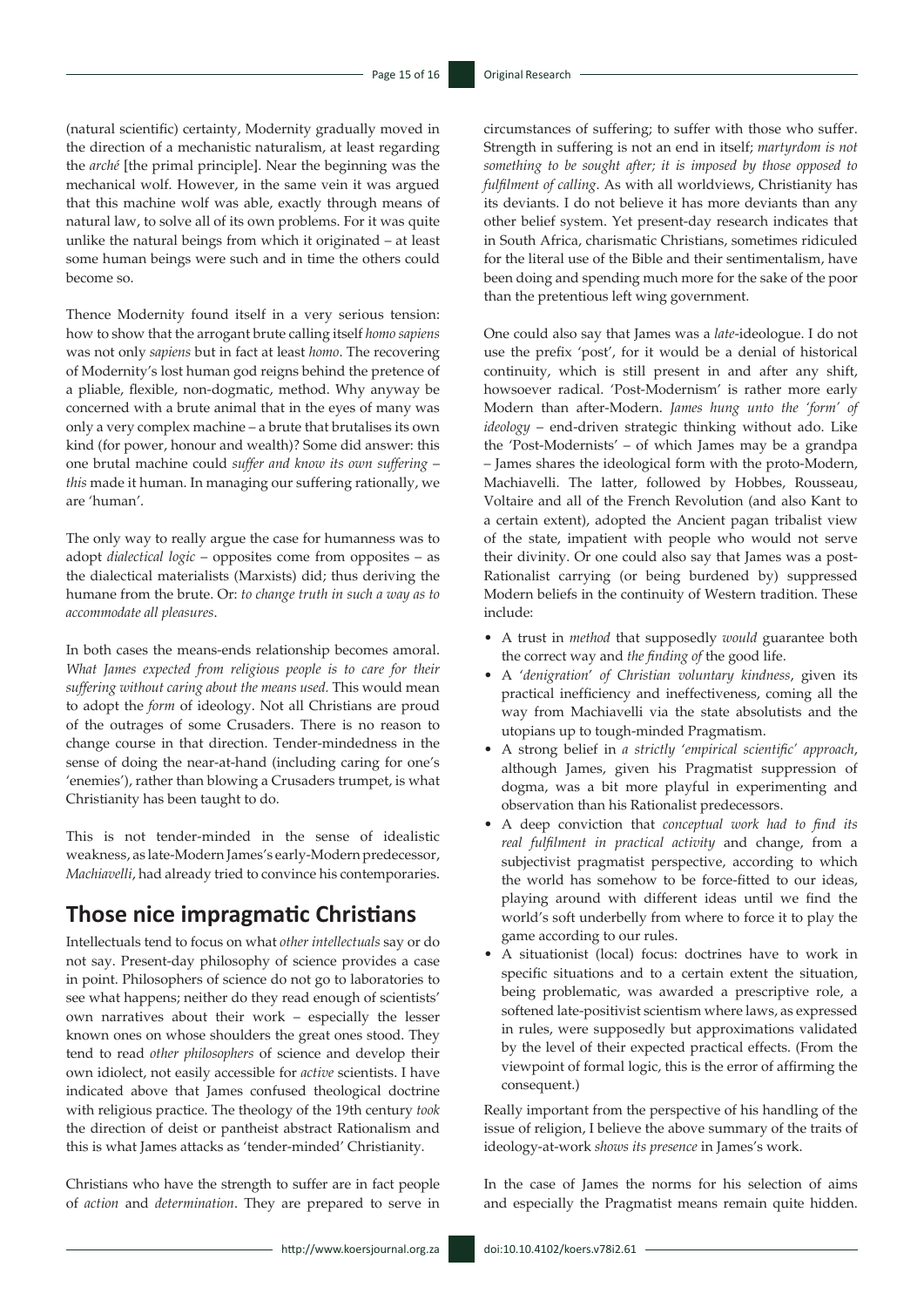(natural scientific) certainty, Modernity gradually moved in the direction of a mechanistic naturalism, at least regarding the *arché* [the primal principle]. Near the beginning was the mechanical wolf. However, in the same vein it was argued that this machine wolf was able, exactly through means of natural law, to solve all of its own problems. For it was quite unlike the natural beings from which it originated – at least some human beings were such and in time the others could become so.

Thence Modernity found itself in a very serious tension: how to show that the arrogant brute calling itself *homo sapiens* was not only *sapiens* but in fact at least *homo*. The recovering of Modernity's lost human god reigns behind the pretence of a pliable, flexible, non-dogmatic, method. Why anyway be concerned with a brute animal that in the eyes of many was only a very complex machine – a brute that brutalises its own kind (for power, honour and wealth)? Some did answer: this one brutal machine could *suffer and know its own suffering* – *this* made it human. In managing our suffering rationally, we are 'human'.

The only way to really argue the case for humanness was to adopt *dialectical logic* – opposites come from opposites – as the dialectical materialists (Marxists) did; thus deriving the humane from the brute. Or: *to change truth in such a way as to accommodate all pleasures*.

In both cases the means-ends relationship becomes amoral. *What James expected from religious people is to care for their suffering without caring about the means used.* This would mean to adopt the *form* of ideology. Not all Christians are proud of the outrages of some Crusaders. There is no reason to change course in that direction. Tender-mindedness in the sense of doing the near-at-hand (including caring for one's 'enemies'), rather than blowing a Crusaders trumpet, is what Christianity has been taught to do.

This is not tender-minded in the sense of idealistic weakness, as late-Modern James's early-Modern predecessor, *Machiavelli*, had already tried to convince his contemporaries.

# **Those nice impragmatic Christians**

Intellectuals tend to focus on what *other intellectuals* say or do not say. Present-day philosophy of science provides a case in point. Philosophers of science do not go to laboratories to see what happens; neither do they read enough of scientists' own narratives about their work – especially the lesser known ones on whose shoulders the great ones stood. They tend to read *other philosophers* of science and develop their own idiolect, not easily accessible for *active* scientists. I have indicated above that James confused theological doctrine with religious practice. The theology of the 19th century *took*  the direction of deist or pantheist abstract Rationalism and this is what James attacks as 'tender-minded' Christianity.

Christians who have the strength to suffer are in fact people of *action* and *determination*. They are prepared to serve in circumstances of suffering; to suffer with those who suffer. Strength in suffering is not an end in itself; *martyrdom is not something to be sought after; it is imposed by those opposed to fulfilment of calling*. As with all worldviews, Christianity has its deviants. I do not believe it has more deviants than any other belief system. Yet present-day research indicates that in South Africa, charismatic Christians, sometimes ridiculed for the literal use of the Bible and their sentimentalism, have been doing and spending much more for the sake of the poor than the pretentious left wing government.

One could also say that James was a *late*-ideologue. I do not use the prefix 'post', for it would be a denial of historical continuity, which is still present in and after any shift, howsoever radical. 'Post-Modernism' is rather more early Modern than after-Modern. *James hung unto the 'form' of ideology* – end-driven strategic thinking without ado. Like the 'Post-Modernists' – of which James may be a grandpa – James shares the ideological form with the proto-Modern, Machiavelli. The latter, followed by Hobbes, Rousseau, Voltaire and all of the French Revolution (and also Kant to a certain extent), adopted the Ancient pagan tribalist view of the state, impatient with people who would not serve their divinity. Or one could also say that James was a post-Rationalist carrying (or being burdened by) suppressed Modern beliefs in the continuity of Western tradition. These include:

- A trust in *method* that supposedly *would* guarantee both the correct way and *the finding of* the good life.
- A '*denigration*' *of Christian voluntary kindness*, given its practical inefficiency and ineffectiveness, coming all the way from Machiavelli via the state absolutists and the utopians up to tough-minded Pragmatism.
- A strong belief in *a strictly* '*empirical scientific' approach*, although James, given his Pragmatist suppression of dogma, was a bit more playful in experimenting and observation than his Rationalist predecessors.
- A deep conviction that *conceptual work had to find its real fulfilment in practical activity* and change, from a subjectivist pragmatist perspective, according to which the world has somehow to be force-fitted to our ideas, playing around with different ideas until we find the world's soft underbelly from where to force it to play the game according to our rules.
- A situationist (local) focus: doctrines have to work in specific situations and to a certain extent the situation, being problematic, was awarded a prescriptive role, a softened late-positivist scientism where laws, as expressed in rules, were supposedly but approximations validated by the level of their expected practical effects. (From the viewpoint of formal logic, this is the error of affirming the consequent.)

Really important from the perspective of his handling of the issue of religion, I believe the above summary of the traits of ideology-at-work *shows its presence* in James's work.

In the case of James the norms for his selection of aims and especially the Pragmatist means remain quite hidden.